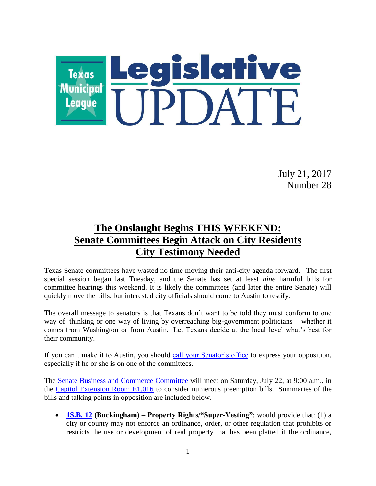

July 21, 2017 Number 28

# **The Onslaught Begins THIS WEEKEND: Senate Committees Begin Attack on City Residents City Testimony Needed**

Texas Senate committees have wasted no time moving their anti-city agenda forward. The first special session began last Tuesday, and the Senate has set at least *nine* harmful bills for committee hearings this weekend. It is likely the committees (and later the entire Senate) will quickly move the bills, but interested city officials should come to Austin to testify.

The overall message to senators is that Texans don't want to be told they must conform to one way of thinking or one way of living by overreaching big-government politicians – whether it comes from Washington or from Austin. Let Texans decide at the local level what's best for their community.

If you can't make it to Austin, you should [call your Senator's office](http://www.fyi.legis.state.tx.us/Home.aspx) to express your opposition, especially if he or she is on one of the committees.

The [Senate Business and Commerce Committee](http://www.senate.texas.gov/cmte.php?c=510) will meet on Saturday, July 22, at 9:00 a.m., in the [Capitol Extension Room E1.016](http://www.tspb.state.tx.us/plan/maps/doc/capitol_building_maps/capitol_building_guide.pdf) to consider numerous preemption bills. Summaries of the bills and talking points in opposition are included below.

 **[1S.B. 12](http://www.capitol.state.tx.us/tlodocs/851/billtext/pdf/SB00012I.pdf#navpanes=0) (Buckingham) – Property Rights/"Super-Vesting"**: would provide that: (1) a city or county may not enforce an ordinance, order, or other regulation that prohibits or restricts the use or development of real property that has been platted if the ordinance,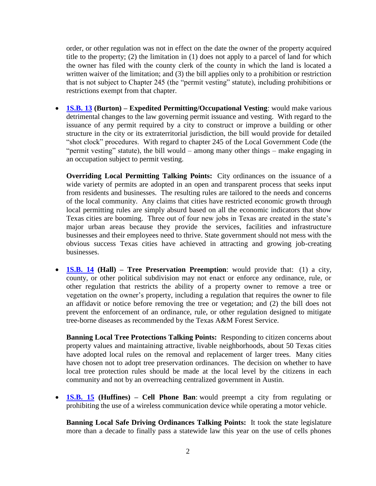order, or other regulation was not in effect on the date the owner of the property acquired title to the property; (2) the limitation in (1) does not apply to a parcel of land for which the owner has filed with the county clerk of the county in which the land is located a written waiver of the limitation; and (3) the bill applies only to a prohibition or restriction that is not subject to Chapter 245 (the "permit vesting" statute), including prohibitions or restrictions exempt from that chapter.

 **[1S.B. 13](http://www.capitol.state.tx.us/tlodocs/851/billtext/pdf/SB00013I.pdf#navpanes=0) (Burton) – Expedited Permitting/Occupational Vesting**: would make various detrimental changes to the law governing permit issuance and vesting. With regard to the issuance of any permit required by a city to construct or improve a building or other structure in the city or its extraterritorial jurisdiction, the bill would provide for detailed "shot clock" procedures. With regard to chapter 245 of the Local Government Code (the "permit vesting" statute), the bill would – among many other things – make engaging in an occupation subject to permit vesting.

**Overriding Local Permitting Talking Points:** City ordinances on the issuance of a wide variety of permits are adopted in an open and transparent process that seeks input from residents and businesses. The resulting rules are tailored to the needs and concerns of the local community. Any claims that cities have restricted economic growth through local permitting rules are simply absurd based on all the economic indicators that show Texas cities are booming. Three out of four new jobs in Texas are created in the state's major urban areas because they provide the services, facilities and infrastructure businesses and their employees need to thrive. State government should not mess with the obvious success Texas cities have achieved in attracting and growing job-creating businesses.

 **[1S.B. 14](http://www.capitol.state.tx.us/tlodocs/851/billtext/pdf/SB00014I.pdf#navpanes=0) (Hall) – Tree Preservation Preemption**: would provide that: (1) a city, county, or other political subdivision may not enact or enforce any ordinance, rule, or other regulation that restricts the ability of a property owner to remove a tree or vegetation on the owner's property, including a regulation that requires the owner to file an affidavit or notice before removing the tree or vegetation; and (2) the bill does not prevent the enforcement of an ordinance, rule, or other regulation designed to mitigate tree-borne diseases as recommended by the Texas A&M Forest Service.

**Banning Local Tree Protections Talking Points:** Responding to citizen concerns about property values and maintaining attractive, livable neighborhoods, about 50 Texas cities have adopted local rules on the removal and replacement of larger trees. Many cities have chosen not to adopt tree preservation ordinances. The decision on whether to have local tree protection rules should be made at the local level by the citizens in each community and not by an overreaching centralized government in Austin.

 **[1S.B. 15](http://www.capitol.state.tx.us/tlodocs/851/billtext/pdf/SB00015I.pdf#navpanes=0) (Huffines) – Cell Phone Ban**: would preempt a city from regulating or prohibiting the use of a wireless communication device while operating a motor vehicle.

**Banning Local Safe Driving Ordinances Talking Points:** It took the state legislature more than a decade to finally pass a statewide law this year on the use of cells phones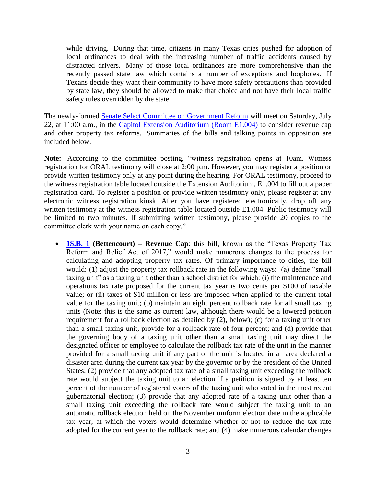while driving. During that time, citizens in many Texas cities pushed for adoption of local ordinances to deal with the increasing number of traffic accidents caused by distracted drivers. Many of those local ordinances are more comprehensive than the recently passed state law which contains a number of exceptions and loopholes. If Texans decide they want their community to have more safety precautions than provided by state law, they should be allowed to make that choice and not have their local traffic safety rules overridden by the state.

The newly-formed [Senate Select Committee on Government Reform](http://www.senate.texas.gov/cmte.php?c=550) will meet on Saturday, July 22, at 11:00 a.m., in the [Capitol Extension Auditorium \(Room E1.004\)](http://www.tspb.state.tx.us/plan/maps/doc/capitol_building_maps/capitol_building_guide.pdf) to consider revenue cap and other property tax reforms. Summaries of the bills and talking points in opposition are included below.

**Note:** According to the committee posting, "witness registration opens at 10am. Witness registration for ORAL testimony will close at 2:00 p.m. However, you may register a position or provide written testimony only at any point during the hearing. For ORAL testimony, proceed to the witness registration table located outside the Extension Auditorium, E1.004 to fill out a paper registration card. To register a position or provide written testimony only, please register at any electronic witness registration kiosk. After you have registered electronically, drop off any written testimony at the witness registration table located outside E1.004. Public testimony will be limited to two minutes. If submitting written testimony, please provide 20 copies to the committee clerk with your name on each copy."

 **[1S.B. 1](http://www.capitol.state.tx.us/tlodocs/851/billtext/pdf/SB00001I.pdf#navpanes=0) (Bettencourt) – Revenue Cap**: this bill, known as the "Texas Property Tax Reform and Relief Act of 2017," would make numerous changes to the process for calculating and adopting property tax rates. Of primary importance to cities, the bill would: (1) adjust the property tax rollback rate in the following ways: (a) define "small taxing unit" as a taxing unit other than a school district for which: (i) the maintenance and operations tax rate proposed for the current tax year is two cents per \$100 of taxable value; or (ii) taxes of \$10 million or less are imposed when applied to the current total value for the taxing unit; (b) maintain an eight percent rollback rate for all small taxing units (Note: this is the same as current law, although there would be a lowered petition requirement for a rollback election as detailed by (2), below); (c) for a taxing unit other than a small taxing unit, provide for a rollback rate of four percent; and (d) provide that the governing body of a taxing unit other than a small taxing unit may direct the designated officer or employee to calculate the rollback tax rate of the unit in the manner provided for a small taxing unit if any part of the unit is located in an area declared a disaster area during the current tax year by the governor or by the president of the United States; (2) provide that any adopted tax rate of a small taxing unit exceeding the rollback rate would subject the taxing unit to an election if a petition is signed by at least ten percent of the number of registered voters of the taxing unit who voted in the most recent gubernatorial election; (3) provide that any adopted rate of a taxing unit other than a small taxing unit exceeding the rollback rate would subject the taxing unit to an automatic rollback election held on the November uniform election date in the applicable tax year, at which the voters would determine whether or not to reduce the tax rate adopted for the current year to the rollback rate; and (4) make numerous calendar changes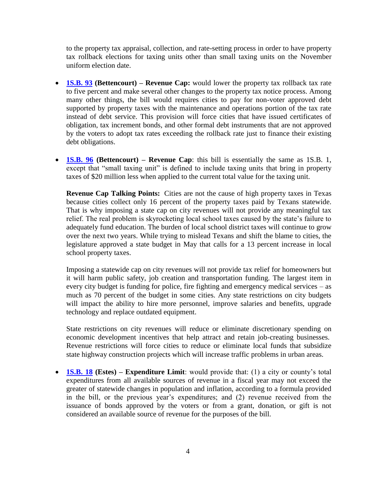to the property tax appraisal, collection, and rate-setting process in order to have property tax rollback elections for taxing units other than small taxing units on the November uniform election date.

- **[1S.B. 93](http://www.capitol.state.tx.us/tlodocs/851/billtext/pdf/SB00093I.pdf#navpanes=0) (Bettencourt) – Revenue Cap:** would lower the property tax rollback tax rate to five percent and make several other changes to the property tax notice process. Among many other things, the bill would requires cities to pay for non-voter approved debt supported by property taxes with the maintenance and operations portion of the tax rate instead of debt service. This provision will force cities that have issued certificates of obligation, tax increment bonds, and other formal debt instruments that are not approved by the voters to adopt tax rates exceeding the rollback rate just to finance their existing debt obligations.
- **[1S.B. 96](http://www.capitol.state.tx.us/tlodocs/851/billtext/pdf/SB00096I.pdf#navpanes=0) (Bettencourt) – Revenue Cap**: this bill is essentially the same as 1S.B. 1, except that "small taxing unit" is defined to include taxing units that bring in property taxes of \$20 million less when applied to the current total value for the taxing unit.

**Revenue Cap Talking Points:** Cities are not the cause of high property taxes in Texas because cities collect only 16 percent of the property taxes paid by Texans statewide. That is why imposing a state cap on city revenues will not provide any meaningful tax relief. The real problem is skyrocketing local school taxes caused by the state's failure to adequately fund education. The burden of local school district taxes will continue to grow over the next two years. While trying to mislead Texans and shift the blame to cities, the legislature approved a state budget in May that calls for a 13 percent increase in local school property taxes.

Imposing a statewide cap on city revenues will not provide tax relief for homeowners but it will harm public safety, job creation and transportation funding. The largest item in every city budget is funding for police, fire fighting and emergency medical services – as much as 70 percent of the budget in some cities. Any state restrictions on city budgets will impact the ability to hire more personnel, improve salaries and benefits, upgrade technology and replace outdated equipment.

State restrictions on city revenues will reduce or eliminate discretionary spending on economic development incentives that help attract and retain job-creating businesses. Revenue restrictions will force cities to reduce or eliminate local funds that subsidize state highway construction projects which will increase traffic problems in urban areas.

 **[1S.B. 18](http://www.capitol.state.tx.us/tlodocs/851/billtext/pdf/SB00018I.pdf#navpanes=0) (Estes) – Expenditure Limit**: would provide that: (1) a city or county's total expenditures from all available sources of revenue in a fiscal year may not exceed the greater of statewide changes in population and inflation, according to a formula provided in the bill, or the previous year's expenditures; and (2) revenue received from the issuance of bonds approved by the voters or from a grant, donation, or gift is not considered an available source of revenue for the purposes of the bill.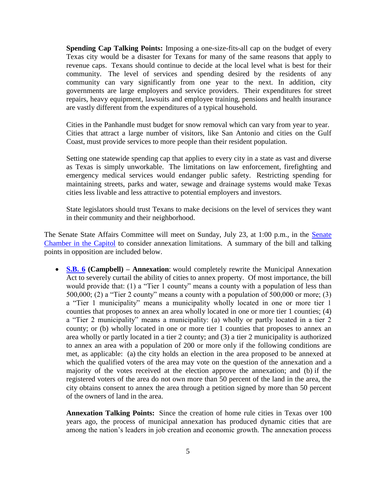**Spending Cap Talking Points:** Imposing a one-size-fits-all cap on the budget of every Texas city would be a disaster for Texans for many of the same reasons that apply to revenue caps. Texans should continue to decide at the local level what is best for their community. The level of services and spending desired by the residents of any community can vary significantly from one year to the next. In addition, city governments are large employers and service providers. Their expenditures for street repairs, heavy equipment, lawsuits and employee training, pensions and health insurance are vastly different from the expenditures of a typical household.

Cities in the Panhandle must budget for snow removal which can vary from year to year. Cities that attract a large number of visitors, like San Antonio and cities on the Gulf Coast, must provide services to more people than their resident population.

Setting one statewide spending cap that applies to every city in a state as vast and diverse as Texas is simply unworkable. The limitations on law enforcement, firefighting and emergency medical services would endanger public safety. Restricting spending for maintaining streets, parks and water, sewage and drainage systems would make Texas cities less livable and less attractive to potential employers and investors.

State legislators should trust Texans to make decisions on the level of services they want in their community and their neighborhood.

The Senate State Affairs Committee will meet on Sunday, July 23, at 1:00 p.m., in the [Senate](http://www.tspb.state.tx.us/plan/maps/doc/capitol_building_maps/capitol_building_guide.pdf)  [Chamber in the Capitol](http://www.tspb.state.tx.us/plan/maps/doc/capitol_building_maps/capitol_building_guide.pdf) to consider annexation limitations. A summary of the bill and talking points in opposition are included below.

 **[S.B. 6](http://www.capitol.state.tx.us/tlodocs/851/billtext/pdf/SB00006I.pdf#navpanes=0) (Campbell) – Annexation**: would completely rewrite the Municipal Annexation Act to severely curtail the ability of cities to annex property. Of most importance, the bill would provide that: (1) a "Tier 1 county" means a county with a population of less than 500,000; (2) a "Tier 2 county" means a county with a population of  $500,000$  or more; (3) a "Tier 1 municipality" means a municipality wholly located in one or more tier 1 counties that proposes to annex an area wholly located in one or more tier 1 counties; (4) a "Tier 2 municipality" means a municipality: (a) wholly or partly located in a tier 2 county; or (b) wholly located in one or more tier 1 counties that proposes to annex an area wholly or partly located in a tier 2 county; and (3) a tier 2 municipality is authorized to annex an area with a population of 200 or more only if the following conditions are met, as applicable: (a) the city holds an election in the area proposed to be annexed at which the qualified voters of the area may vote on the question of the annexation and a majority of the votes received at the election approve the annexation; and (b) if the registered voters of the area do not own more than 50 percent of the land in the area, the city obtains consent to annex the area through a petition signed by more than 50 percent of the owners of land in the area.

**Annexation Talking Points:** Since the creation of home rule cities in Texas over 100 years ago, the process of municipal annexation has produced dynamic cities that are among the nation's leaders in job creation and economic growth. The annexation process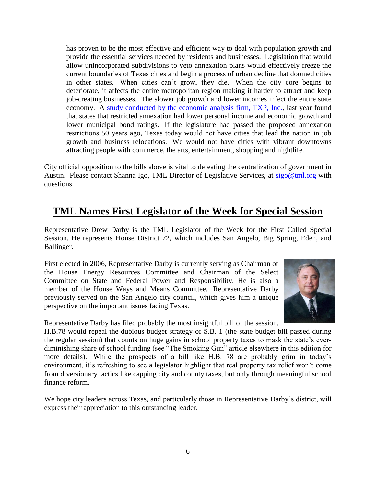has proven to be the most effective and efficient way to deal with population growth and provide the essential services needed by residents and businesses. Legislation that would allow unincorporated subdivisions to veto annexation plans would effectively freeze the current boundaries of Texas cities and begin a process of urban decline that doomed cities in other states. When cities can't grow, they die. When the city core begins to deteriorate, it affects the entire metropolitan region making it harder to attract and keep job-creating businesses. The slower job growth and lower incomes infect the entire state economy. A [study conducted by the economic analysis firm, TXP, Inc.,](https://www.tml.org/p/TML%20TXP%20Annexation%20DRAFT%20April%202016%201.1.pdf) last year found that states that restricted annexation had lower personal income and economic growth and lower municipal bond ratings. If the legislature had passed the proposed annexation restrictions 50 years ago, Texas today would not have cities that lead the nation in job growth and business relocations. We would not have cities with vibrant downtowns attracting people with commerce, the arts, entertainment, shopping and nightlife.

City official opposition to the bills above is vital to defeating the centralization of government in Austin. Please contact Shanna Igo, TML Director of Legislative Services, at [sigo@tml.org](mailto:sigo@tml.org) with questions.

## **TML Names First Legislator of the Week for Special Session**

Representative Drew Darby is the TML Legislator of the Week for the First Called Special Session. He represents House District 72, which includes San Angelo, Big Spring, Eden, and Ballinger.

First elected in 2006, Representative Darby is currently serving as Chairman of the House Energy Resources Committee and Chairman of the Select Committee on State and Federal Power and Responsibility. He is also a member of the House Ways and Means Committee. Representative Darby previously served on the San Angelo city council, which gives him a unique perspective on the important issues facing Texas.



Representative Darby has filed probably the most insightful bill of the session.

H.B.78 would repeal the dubious budget strategy of S.B. 1 (the state budget bill passed during the regular session) that counts on huge gains in school property taxes to mask the state's everdiminishing share of school funding (see "The Smoking Gun" article elsewhere in this edition for more details). While the prospects of a bill like H.B. 78 are probably grim in today's environment, it's refreshing to see a legislator highlight that real property tax relief won't come from diversionary tactics like capping city and county taxes, but only through meaningful school finance reform.

We hope city leaders across Texas, and particularly those in Representative Darby's district, will express their appreciation to this outstanding leader.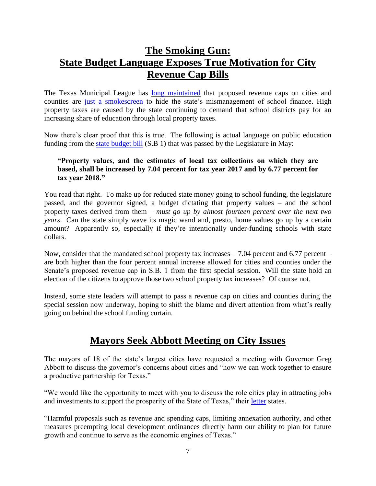# **The Smoking Gun: State Budget Language Exposes True Motivation for City Revenue Cap Bills**

The Texas Municipal League has [long maintained](https://www.tml.org/legis_updates/state-budget-designed-to-raise-property-taxes) that proposed revenue caps on cities and counties are [just a smokescreen](https://www.tml.org/legis_updates/senate-budget-designed-to-raise-property-taxes) to hide the state's mismanagement of school finance. High property taxes are caused by the state continuing to demand that school districts pay for an increasing share of education through local property taxes.

Now there's clear proof that this is true. The following is actual language on public education funding from the [state budget bill](https://www.tml.org/p/2017SessionBudget-ISDTaxRates.pdf) (S.B 1) that was passed by the Legislature in May:

#### **"Property values, and the estimates of local tax collections on which they are based, shall be increased by 7.04 percent for tax year 2017 and by 6.77 percent for tax year 2018."**

You read that right. To make up for reduced state money going to school funding, the legislature passed, and the governor signed, a budget dictating that property values – and the school property taxes derived from them – *must go up by almost fourteen percent over the next two years*. Can the state simply wave its magic wand and, presto, home values go up by a certain amount? Apparently so, especially if they're intentionally under-funding schools with state dollars.

Now, consider that the mandated school property tax increases – 7.04 percent and 6.77 percent – are both higher than the four percent annual increase allowed for cities and counties under the Senate's proposed revenue cap in S.B. 1 from the first special session. Will the state hold an election of the citizens to approve those two school property tax increases? Of course not.

Instead, some state leaders will attempt to pass a revenue cap on cities and counties during the special session now underway, hoping to shift the blame and divert attention from what's really going on behind the school funding curtain.

## **Mayors Seek Abbott Meeting on City Issues**

The mayors of 18 of the state's largest cities have requested a meeting with Governor Greg Abbott to discuss the governor's concerns about cities and "how we can work together to ensure a productive partnership for Texas."

"We would like the opportunity to meet with you to discuss the role cities play in attracting jobs and investments to support the prosperity of the State of Texas," their [letter](https://www.tml.org/p/MayorsLetterGovernorJuly2017.pdf) states.

"Harmful proposals such as revenue and spending caps, limiting annexation authority, and other measures preempting local development ordinances directly harm our ability to plan for future growth and continue to serve as the economic engines of Texas."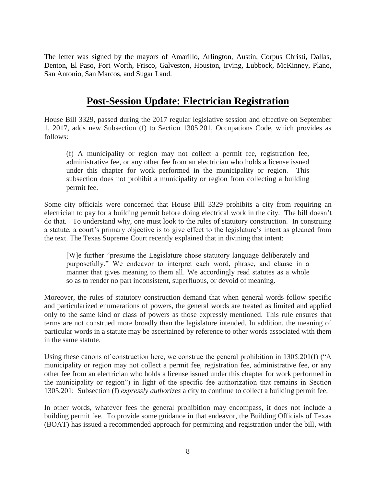The letter was signed by the mayors of Amarillo, Arlington, Austin, Corpus Christi, Dallas, Denton, El Paso, Fort Worth, Frisco, Galveston, Houston, Irving, Lubbock, McKinney, Plano, San Antonio, San Marcos, and Sugar Land.

## **Post-Session Update: Electrician Registration**

House Bill 3329, passed during the 2017 regular legislative session and effective on September 1, 2017, adds new Subsection (f) to Section 1305.201, Occupations Code, which provides as follows:

(f) A municipality or region may not collect a permit fee, registration fee, administrative fee, or any other fee from an electrician who holds a license issued under this chapter for work performed in the municipality or region. This subsection does not prohibit a municipality or region from collecting a building permit fee.

Some city officials were concerned that House Bill 3329 prohibits a city from requiring an electrician to pay for a building permit before doing electrical work in the city. The bill doesn't do that. To understand why, one must look to the rules of statutory construction. In construing a statute, a court's primary objective is to give effect to the legislature's intent as gleaned from the text. The Texas Supreme Court recently explained that in divining that intent:

[W]e further "presume the Legislature chose statutory language deliberately and purposefully." We endeavor to interpret each word, phrase, and clause in a manner that gives meaning to them all. We accordingly read statutes as a whole so as to render no part inconsistent, superfluous, or devoid of meaning.

Moreover, the rules of statutory construction demand that when general words follow specific and particularized enumerations of powers, the general words are treated as limited and applied only to the same kind or class of powers as those expressly mentioned. This rule ensures that terms are not construed more broadly than the legislature intended. In addition, the meaning of particular words in a statute may be ascertained by reference to other words associated with them in the same statute.

Using these canons of construction here, we construe the general prohibition in 1305.201(f) ("A municipality or region may not collect a permit fee, registration fee, administrative fee, or any other fee from an electrician who holds a license issued under this chapter for work performed in the municipality or region") in light of the specific fee authorization that remains in Section 1305.201: Subsection (f) *expressly authorizes* a city to continue to collect a building permit fee.

In other words, whatever fees the general prohibition may encompass, it does not include a building permit fee. To provide some guidance in that endeavor, the Building Officials of Texas (BOAT) has issued a recommended approach for permitting and registration under the bill, with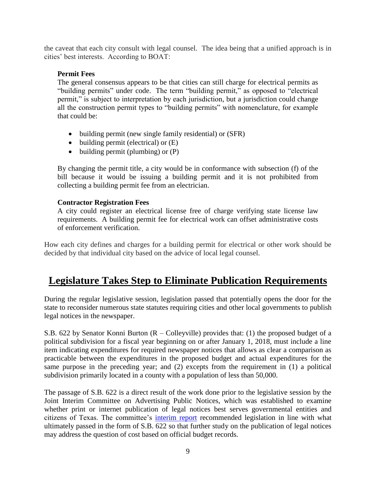the caveat that each city consult with legal counsel. The idea being that a unified approach is in cities' best interests. According to BOAT:

#### **Permit Fees**

The general consensus appears to be that cities can still charge for electrical permits as "building permits" under code. The term "building permit," as opposed to "electrical permit," is subject to interpretation by each jurisdiction, but a jurisdiction could change all the construction permit types to "building permits" with nomenclature, for example that could be:

- building permit (new single family residential) or (SFR)
- $\bullet$  building permit (electrical) or  $(E)$
- $\bullet$  building permit (plumbing) or (P)

By changing the permit title, a city would be in conformance with subsection (f) of the bill because it would be issuing a building permit and it is not prohibited from collecting a building permit fee from an electrician.

#### **Contractor Registration Fees**

A city could register an electrical license free of charge verifying state license law requirements. A building permit fee for electrical work can offset administrative costs of enforcement verification.

How each city defines and charges for a building permit for electrical or other work should be decided by that individual city based on the advice of local legal counsel.

## **Legislature Takes Step to Eliminate Publication Requirements**

During the regular legislative session, legislation passed that potentially opens the door for the state to reconsider numerous state statutes requiring cities and other local governments to publish legal notices in the newspaper.

S.B. 622 by Senator Konni Burton (R – Colleyville) provides that: (1) the proposed budget of a political subdivision for a fiscal year beginning on or after January 1, 2018, must include a line item indicating expenditures for required newspaper notices that allows as clear a comparison as practicable between the expenditures in the proposed budget and actual expenditures for the same purpose in the preceding year; and (2) excepts from the requirement in (1) a political subdivision primarily located in a county with a population of less than 50,000.

The passage of S.B. 622 is a direct result of the work done prior to the legislative session by the Joint Interim Committee on Advertising Public Notices, which was established to examine whether print or internet publication of legal notices best serves governmental entities and citizens of Texas. The committee's [interim report](http://texaspress.com/sites/default/files/Joint_Interim_Report.pdf) recommended legislation in line with what ultimately passed in the form of S.B.  $\overline{622}$  so that further study on the publication of legal notices may address the question of cost based on official budget records.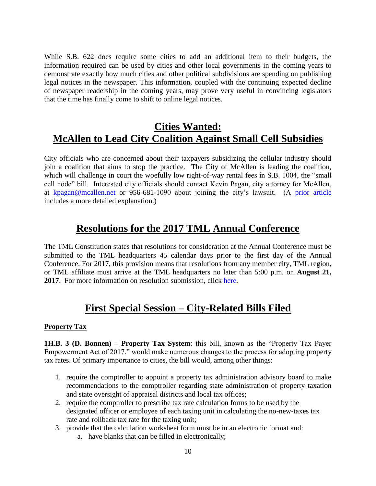While S.B. 622 does require some cities to add an additional item to their budgets, the information required can be used by cities and other local governments in the coming years to demonstrate exactly how much cities and other political subdivisions are spending on publishing legal notices in the newspaper. This information, coupled with the continuing expected decline of newspaper readership in the coming years, may prove very useful in convincing legislators that the time has finally come to shift to online legal notices.

# **Cities Wanted: McAllen to Lead City Coalition Against Small Cell Subsidies**

City officials who are concerned about their taxpayers subsidizing the cellular industry should join a coalition that aims to stop the practice. The City of McAllen is leading the coalition, which will challenge in court the woefully low right-of-way rental fees in S.B. 1004, the "small" cell node" bill. Interested city officials should contact Kevin Pagan, city attorney for McAllen, at [kpagan@mcallen.net](mailto:kpagan@mcallen.net) or 956-681-1090 about joining the city's lawsuit. (A [prior article](https://www.tml.org/legis_updates/cities-wanted-mcallen-to-lead-city-coalition-against-small-cell-subsidies) includes a more detailed explanation.)

## **Resolutions for the 2017 TML Annual Conference**

The TML Constitution states that resolutions for consideration at the Annual Conference must be submitted to the TML headquarters 45 calendar days prior to the first day of the Annual Conference. For 2017, this provision means that resolutions from any member city, TML region, or TML affiliate must arrive at the TML headquarters no later than 5:00 p.m. on **August 21, 2017**. For more information on resolution submission, click [here.](https://www.tml.org/legis_updates/resolutions-for-the-2017-tml-annual-conference)

## **First Special Session – City-Related Bills Filed**

### **Property Tax**

**1H.B. 3 (D. Bonnen) – Property Tax System**: this bill, known as the "Property Tax Payer Empowerment Act of 2017," would make numerous changes to the process for adopting property tax rates. Of primary importance to cities, the bill would, among other things:

- 1. require the comptroller to appoint a property tax administration advisory board to make recommendations to the comptroller regarding state administration of property taxation and state oversight of appraisal districts and local tax offices;
- 2. require the comptroller to prescribe tax rate calculation forms to be used by the designated officer or employee of each taxing unit in calculating the no-new-taxes tax rate and rollback tax rate for the taxing unit;
- 3. provide that the calculation worksheet form must be in an electronic format and:
	- a. have blanks that can be filled in electronically;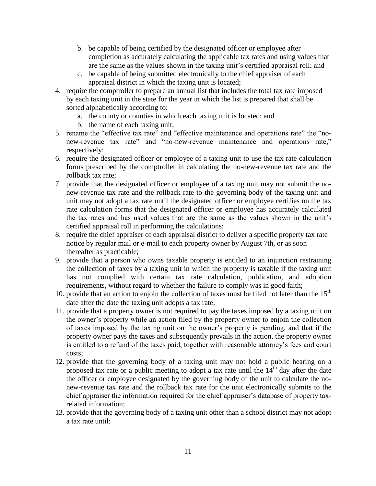- b. be capable of being certified by the designated officer or employee after completion as accurately calculating the applicable tax rates and using values that are the same as the values shown in the taxing unit's certified appraisal roll; and
- c. be capable of being submitted electronically to the chief appraiser of each appraisal district in which the taxing unit is located;
- 4. require the comptroller to prepare an annual list that includes the total tax rate imposed by each taxing unit in the state for the year in which the list is prepared that shall be sorted alphabetically according to:
	- a. the county or counties in which each taxing unit is located; and
	- b. the name of each taxing unit;
- 5. rename the "effective tax rate" and "effective maintenance and operations rate" the "nonew-revenue tax rate" and "no-new-revenue maintenance and operations rate," respectively;
- 6. require the designated officer or employee of a taxing unit to use the tax rate calculation forms prescribed by the comptroller in calculating the no-new-revenue tax rate and the rollback tax rate;
- 7. provide that the designated officer or employee of a taxing unit may not submit the nonew-revenue tax rate and the rollback rate to the governing body of the taxing unit and unit may not adopt a tax rate until the designated officer or employee certifies on the tax rate calculation forms that the designated officer or employee has accurately calculated the tax rates and has used values that are the same as the values shown in the unit's certified appraisal roll in performing the calculations;
- 8. require the chief appraiser of each appraisal district to deliver a specific property tax rate notice by regular mail or e-mail to each property owner by August 7th, or as soon thereafter as practicable;
- 9. provide that a person who owns taxable property is entitled to an injunction restraining the collection of taxes by a taxing unit in which the property is taxable if the taxing unit has not complied with certain tax rate calculation, publication, and adoption requirements, without regard to whether the failure to comply was in good faith;
- 10. provide that an action to enjoin the collection of taxes must be filed not later than the  $15<sup>th</sup>$ date after the date the taxing unit adopts a tax rate;
- 11. provide that a property owner is not required to pay the taxes imposed by a taxing unit on the owner's property while an action filed by the property owner to enjoin the collection of taxes imposed by the taxing unit on the owner's property is pending, and that if the property owner pays the taxes and subsequently prevails in the action, the property owner is entitled to a refund of the taxes paid, together with reasonable attorney's fees and court costs;
- 12. provide that the governing body of a taxing unit may not hold a public hearing on a proposed tax rate or a public meeting to adopt a tax rate until the  $14<sup>th</sup>$  day after the date the officer or employee designated by the governing body of the unit to calculate the nonew-revenue tax rate and the rollback tax rate for the unit electronically submits to the chief appraiser the information required for the chief appraiser's database of property taxrelated information;
- 13. provide that the governing body of a taxing unit other than a school district may not adopt a tax rate until: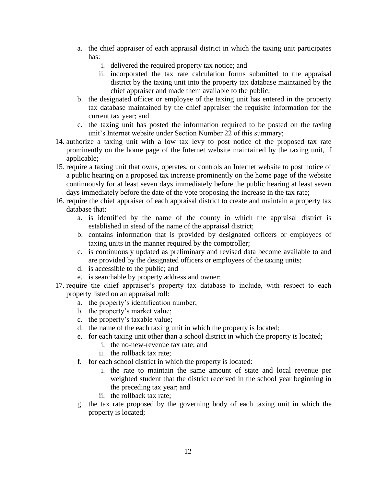- a. the chief appraiser of each appraisal district in which the taxing unit participates has:
	- i. delivered the required property tax notice; and
	- ii. incorporated the tax rate calculation forms submitted to the appraisal district by the taxing unit into the property tax database maintained by the chief appraiser and made them available to the public;
- b. the designated officer or employee of the taxing unit has entered in the property tax database maintained by the chief appraiser the requisite information for the current tax year; and
- c. the taxing unit has posted the information required to be posted on the taxing unit's Internet website under Section Number 22 of this summary;
- 14. authorize a taxing unit with a low tax levy to post notice of the proposed tax rate prominently on the home page of the Internet website maintained by the taxing unit, if applicable;
- 15. require a taxing unit that owns, operates, or controls an Internet website to post notice of a public hearing on a proposed tax increase prominently on the home page of the website continuously for at least seven days immediately before the public hearing at least seven days immediately before the date of the vote proposing the increase in the tax rate;
- 16. require the chief appraiser of each appraisal district to create and maintain a property tax database that:
	- a. is identified by the name of the county in which the appraisal district is established in stead of the name of the appraisal district;
	- b. contains information that is provided by designated officers or employees of taxing units in the manner required by the comptroller;
	- c. is continuously updated as preliminary and revised data become available to and are provided by the designated officers or employees of the taxing units;
	- d. is accessible to the public; and
	- e. is searchable by property address and owner;
- 17. require the chief appraiser's property tax database to include, with respect to each property listed on an appraisal roll:
	- a. the property's identification number;
	- b. the property's market value;
	- c. the property's taxable value;
	- d. the name of the each taxing unit in which the property is located;
	- e. for each taxing unit other than a school district in which the property is located;
		- i. the no-new-revenue tax rate; and
		- ii. the rollback tax rate;
	- f. for each school district in which the property is located:
		- i. the rate to maintain the same amount of state and local revenue per weighted student that the district received in the school year beginning in the preceding tax year; and
		- ii. the rollback tax rate;
	- g. the tax rate proposed by the governing body of each taxing unit in which the property is located;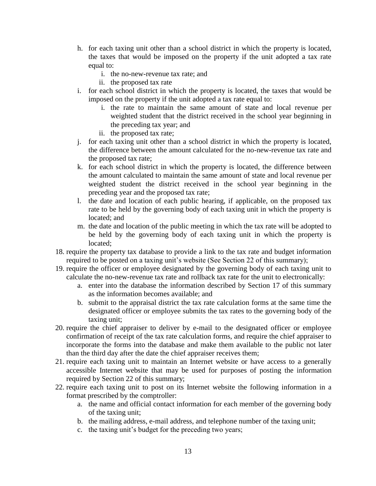- h. for each taxing unit other than a school district in which the property is located, the taxes that would be imposed on the property if the unit adopted a tax rate equal to:
	- i. the no-new-revenue tax rate; and
	- ii. the proposed tax rate
- i. for each school district in which the property is located, the taxes that would be imposed on the property if the unit adopted a tax rate equal to:
	- i. the rate to maintain the same amount of state and local revenue per weighted student that the district received in the school year beginning in the preceding tax year; and
	- ii. the proposed tax rate;
- j. for each taxing unit other than a school district in which the property is located, the difference between the amount calculated for the no-new-revenue tax rate and the proposed tax rate;
- k. for each school district in which the property is located, the difference between the amount calculated to maintain the same amount of state and local revenue per weighted student the district received in the school year beginning in the preceding year and the proposed tax rate;
- l. the date and location of each public hearing, if applicable, on the proposed tax rate to be held by the governing body of each taxing unit in which the property is located; and
- m. the date and location of the public meeting in which the tax rate will be adopted to be held by the governing body of each taxing unit in which the property is located;
- 18. require the property tax database to provide a link to the tax rate and budget information required to be posted on a taxing unit's website (See Section 22 of this summary);
- 19. require the officer or employee designated by the governing body of each taxing unit to calculate the no-new-revenue tax rate and rollback tax rate for the unit to electronically:
	- a. enter into the database the information described by Section 17 of this summary as the information becomes available; and
	- b. submit to the appraisal district the tax rate calculation forms at the same time the designated officer or employee submits the tax rates to the governing body of the taxing unit;
- 20. require the chief appraiser to deliver by e-mail to the designated officer or employee confirmation of receipt of the tax rate calculation forms, and require the chief appraiser to incorporate the forms into the database and make them available to the public not later than the third day after the date the chief appraiser receives them;
- 21. require each taxing unit to maintain an Internet website or have access to a generally accessible Internet website that may be used for purposes of posting the information required by Section 22 of this summary;
- 22. require each taxing unit to post on its Internet website the following information in a format prescribed by the comptroller:
	- a. the name and official contact information for each member of the governing body of the taxing unit;
	- b. the mailing address, e-mail address, and telephone number of the taxing unit;
	- c. the taxing unit's budget for the preceding two years;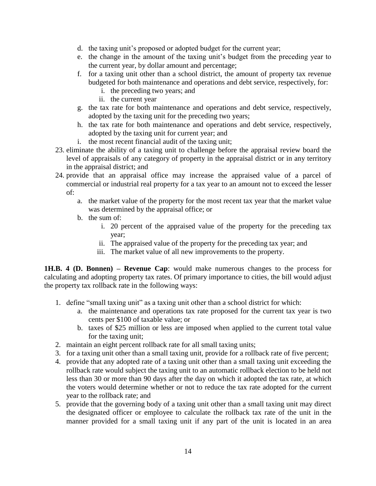- d. the taxing unit's proposed or adopted budget for the current year;
- e. the change in the amount of the taxing unit's budget from the preceding year to the current year, by dollar amount and percentage;
- f. for a taxing unit other than a school district, the amount of property tax revenue budgeted for both maintenance and operations and debt service, respectively, for:
	- i. the preceding two years; and
	- ii. the current year
- g. the tax rate for both maintenance and operations and debt service, respectively, adopted by the taxing unit for the preceding two years;
- h. the tax rate for both maintenance and operations and debt service, respectively, adopted by the taxing unit for current year; and
- i. the most recent financial audit of the taxing unit;
- 23. eliminate the ability of a taxing unit to challenge before the appraisal review board the level of appraisals of any category of property in the appraisal district or in any territory in the appraisal district; and
- 24. provide that an appraisal office may increase the appraised value of a parcel of commercial or industrial real property for a tax year to an amount not to exceed the lesser of:
	- a. the market value of the property for the most recent tax year that the market value was determined by the appraisal office; or
	- b. the sum of:
		- i. 20 percent of the appraised value of the property for the preceding tax year;
		- ii. The appraised value of the property for the preceding tax year; and
		- iii. The market value of all new improvements to the property.

**1H.B. 4 (D. Bonnen) – Revenue Cap**: would make numerous changes to the process for calculating and adopting property tax rates. Of primary importance to cities, the bill would adjust the property tax rollback rate in the following ways:

- 1. define "small taxing unit" as a taxing unit other than a school district for which:
	- a. the maintenance and operations tax rate proposed for the current tax year is two cents per \$100 of taxable value; or
	- b. taxes of \$25 million or less are imposed when applied to the current total value for the taxing unit;
- 2. maintain an eight percent rollback rate for all small taxing units;
- 3. for a taxing unit other than a small taxing unit, provide for a rollback rate of five percent;
- 4. provide that any adopted rate of a taxing unit other than a small taxing unit exceeding the rollback rate would subject the taxing unit to an automatic rollback election to be held not less than 30 or more than 90 days after the day on which it adopted the tax rate, at which the voters would determine whether or not to reduce the tax rate adopted for the current year to the rollback rate; and
- 5. provide that the governing body of a taxing unit other than a small taxing unit may direct the designated officer or employee to calculate the rollback tax rate of the unit in the manner provided for a small taxing unit if any part of the unit is located in an area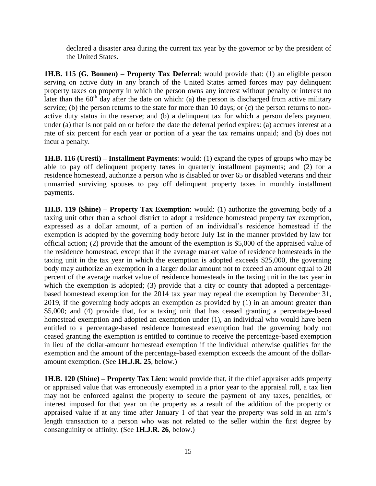declared a disaster area during the current tax year by the governor or by the president of the United States.

**1H.B. 115 (G. Bonnen) – Property Tax Deferral**: would provide that: (1) an eligible person serving on active duty in any branch of the United States armed forces may pay delinquent property taxes on property in which the person owns any interest without penalty or interest no later than the  $60<sup>th</sup>$  day after the date on which: (a) the person is discharged from active military service; (b) the person returns to the state for more than 10 days; or (c) the person returns to nonactive duty status in the reserve; and (b) a delinquent tax for which a person defers payment under (a) that is not paid on or before the date the deferral period expires: (a) accrues interest at a rate of six percent for each year or portion of a year the tax remains unpaid; and (b) does not incur a penalty.

**1H.B. 116 (Uresti) – Installment Payments**: would: (1) expand the types of groups who may be able to pay off delinquent property taxes in quarterly installment payments; and (2) for a residence homestead, authorize a person who is disabled or over 65 or disabled veterans and their unmarried surviving spouses to pay off delinquent property taxes in monthly installment payments.

**1H.B. 119 (Shine) – Property Tax Exemption**: would: (1) authorize the governing body of a taxing unit other than a school district to adopt a residence homestead property tax exemption, expressed as a dollar amount, of a portion of an individual's residence homestead if the exemption is adopted by the governing body before July 1st in the manner provided by law for official action; (2) provide that the amount of the exemption is \$5,000 of the appraised value of the residence homestead, except that if the average market value of residence homesteads in the taxing unit in the tax year in which the exemption is adopted exceeds \$25,000, the governing body may authorize an exemption in a larger dollar amount not to exceed an amount equal to 20 percent of the average market value of residence homesteads in the taxing unit in the tax year in which the exemption is adopted; (3) provide that a city or county that adopted a percentagebased homestead exemption for the 2014 tax year may repeal the exemption by December 31, 2019, if the governing body adopts an exemption as provided by (1) in an amount greater than \$5,000; and (4) provide that, for a taxing unit that has ceased granting a percentage-based homestead exemption and adopted an exemption under (1), an individual who would have been entitled to a percentage-based residence homestead exemption had the governing body not ceased granting the exemption is entitled to continue to receive the percentage-based exemption in lieu of the dollar-amount homestead exemption if the individual otherwise qualifies for the exemption and the amount of the percentage-based exemption exceeds the amount of the dollaramount exemption. (See **1H.J.R. 25**, below.)

**1H.B. 120 (Shine) – Property Tax Lien**: would provide that, if the chief appraiser adds property or appraised value that was erroneously exempted in a prior year to the appraisal roll, a tax lien may not be enforced against the property to secure the payment of any taxes, penalties, or interest imposed for that year on the property as a result of the addition of the property or appraised value if at any time after January 1 of that year the property was sold in an arm's length transaction to a person who was not related to the seller within the first degree by consanguinity or affinity. (See **1H.J.R. 26**, below.)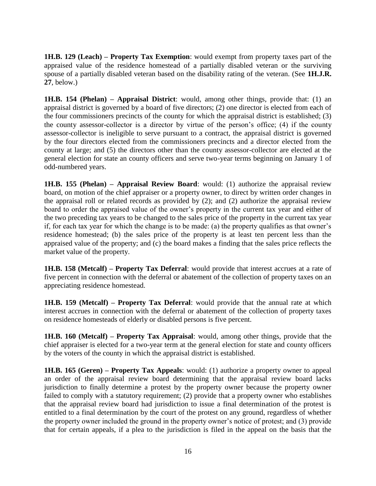**1H.B. 129 (Leach) – Property Tax Exemption**: would exempt from property taxes part of the appraised value of the residence homestead of a partially disabled veteran or the surviving spouse of a partially disabled veteran based on the disability rating of the veteran. (See **1H.J.R. 27**, below.)

**1H.B. 154 (Phelan) – Appraisal District**: would, among other things, provide that: (1) an appraisal district is governed by a board of five directors; (2) one director is elected from each of the four commissioners precincts of the county for which the appraisal district is established; (3) the county assessor-collector is a director by virtue of the person's office; (4) if the county assessor-collector is ineligible to serve pursuant to a contract, the appraisal district is governed by the four directors elected from the commissioners precincts and a director elected from the county at large; and (5) the directors other than the county assessor-collector are elected at the general election for state an county officers and serve two-year terms beginning on January 1 of odd-numbered years.

**1H.B. 155 (Phelan) – Appraisal Review Board**: would: (1) authorize the appraisal review board, on motion of the chief appraiser or a property owner, to direct by written order changes in the appraisal roll or related records as provided by (2); and (2) authorize the appraisal review board to order the appraised value of the owner's property in the current tax year and either of the two preceding tax years to be changed to the sales price of the property in the current tax year if, for each tax year for which the change is to be made: (a) the property qualifies as that owner's residence homestead; (b) the sales price of the property is at least ten percent less than the appraised value of the property; and (c) the board makes a finding that the sales price reflects the market value of the property.

**1H.B. 158 (Metcalf) – Property Tax Deferral**: would provide that interest accrues at a rate of five percent in connection with the deferral or abatement of the collection of property taxes on an appreciating residence homestead.

**1H.B. 159 (Metcalf) – Property Tax Deferral**: would provide that the annual rate at which interest accrues in connection with the deferral or abatement of the collection of property taxes on residence homesteads of elderly or disabled persons is five percent.

**1H.B. 160 (Metcalf) – Property Tax Appraisal**: would, among other things, provide that the chief appraiser is elected for a two-year term at the general election for state and county officers by the voters of the county in which the appraisal district is established.

**1H.B. 165 (Geren) – Property Tax Appeals**: would: (1) authorize a property owner to appeal an order of the appraisal review board determining that the appraisal review board lacks jurisdiction to finally determine a protest by the property owner because the property owner failed to comply with a statutory requirement; (2) provide that a property owner who establishes that the appraisal review board had jurisdiction to issue a final determination of the protest is entitled to a final determination by the court of the protest on any ground, regardless of whether the property owner included the ground in the property owner's notice of protest; and (3) provide that for certain appeals, if a plea to the jurisdiction is filed in the appeal on the basis that the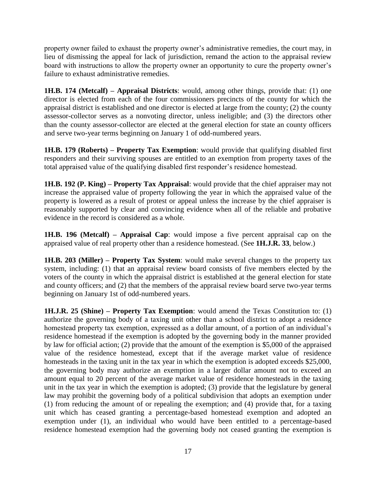property owner failed to exhaust the property owner's administrative remedies, the court may, in lieu of dismissing the appeal for lack of jurisdiction, remand the action to the appraisal review board with instructions to allow the property owner an opportunity to cure the property owner's failure to exhaust administrative remedies.

**1H.B. 174 (Metcalf) – Appraisal Districts**: would, among other things, provide that: (1) one director is elected from each of the four commissioners precincts of the county for which the appraisal district is established and one director is elected at large from the county; (2) the county assessor-collector serves as a nonvoting director, unless ineligible; and (3) the directors other than the county assessor-collector are elected at the general election for state an county officers and serve two-year terms beginning on January 1 of odd-numbered years.

**1H.B. 179 (Roberts) – Property Tax Exemption**: would provide that qualifying disabled first responders and their surviving spouses are entitled to an exemption from property taxes of the total appraised value of the qualifying disabled first responder's residence homestead.

**1H.B. 192 (P. King) – Property Tax Appraisal**: would provide that the chief appraiser may not increase the appraised value of property following the year in which the appraised value of the property is lowered as a result of protest or appeal unless the increase by the chief appraiser is reasonably supported by clear and convincing evidence when all of the reliable and probative evidence in the record is considered as a whole.

**1H.B. 196 (Metcalf) – Appraisal Cap**: would impose a five percent appraisal cap on the appraised value of real property other than a residence homestead. (See **1H.J.R. 33**, below.)

**1H.B. 203 (Miller) – Property Tax System**: would make several changes to the property tax system, including: (1) that an appraisal review board consists of five members elected by the voters of the county in which the appraisal district is established at the general election for state and county officers; and (2) that the members of the appraisal review board serve two-year terms beginning on January 1st of odd-numbered years.

**1H.J.R. 25 (Shine) – Property Tax Exemption**: would amend the Texas Constitution to: (1) authorize the governing body of a taxing unit other than a school district to adopt a residence homestead property tax exemption, expressed as a dollar amount, of a portion of an individual's residence homestead if the exemption is adopted by the governing body in the manner provided by law for official action; (2) provide that the amount of the exemption is \$5,000 of the appraised value of the residence homestead, except that if the average market value of residence homesteads in the taxing unit in the tax year in which the exemption is adopted exceeds \$25,000, the governing body may authorize an exemption in a larger dollar amount not to exceed an amount equal to 20 percent of the average market value of residence homesteads in the taxing unit in the tax year in which the exemption is adopted; (3) provide that the legislature by general law may prohibit the governing body of a political subdivision that adopts an exemption under (1) from reducing the amount of or repealing the exemption; and (4) provide that, for a taxing unit which has ceased granting a percentage-based homestead exemption and adopted an exemption under (1), an individual who would have been entitled to a percentage-based residence homestead exemption had the governing body not ceased granting the exemption is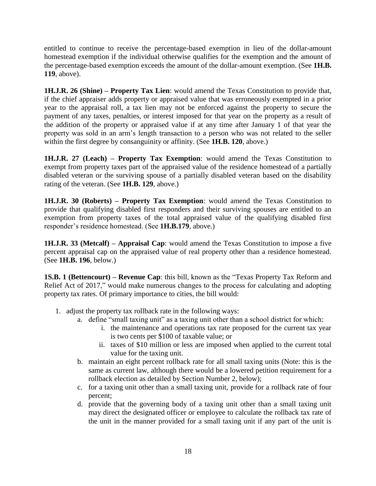entitled to continue to receive the percentage-based exemption in lieu of the dollar-amount homestead exemption if the individual otherwise qualifies for the exemption and the amount of the percentage-based exemption exceeds the amount of the dollar-amount exemption. (See **1H.B. 119**, above).

**1H.J.R. 26 (Shine) – Property Tax Lien**: would amend the Texas Constitution to provide that, if the chief appraiser adds property or appraised value that was erroneously exempted in a prior year to the appraisal roll, a tax lien may not be enforced against the property to secure the payment of any taxes, penalties, or interest imposed for that year on the property as a result of the addition of the property or appraised value if at any time after January 1 of that year the property was sold in an arm's length transaction to a person who was not related to the seller within the first degree by consanguinity or affinity. (See **1H.B. 120**, above.)

**1H.J.R. 27 (Leach) – Property Tax Exemption**: would amend the Texas Constitution to exempt from property taxes part of the appraised value of the residence homestead of a partially disabled veteran or the surviving spouse of a partially disabled veteran based on the disability rating of the veteran. (See **1H.B. 129**, above.)

**1H.J.R. 30 (Roberts) – Property Tax Exemption**: would amend the Texas Constitution to provide that qualifying disabled first responders and their surviving spouses are entitled to an exemption from property taxes of the total appraised value of the qualifying disabled first responder's residence homestead. (See **1H.B.179**, above.)

**1H.J.R. 33 (Metcalf) – Appraisal Cap**: would amend the Texas Constitution to impose a five percent appraisal cap on the appraised value of real property other than a residence homestead. (See **1H.B. 196**, below.)

**1S.B. 1 (Bettencourt) – Revenue Cap**: this bill, known as the "Texas Property Tax Reform and Relief Act of 2017," would make numerous changes to the process for calculating and adopting property tax rates. Of primary importance to cities, the bill would:

- 1. adjust the property tax rollback rate in the following ways:
	- a. define "small taxing unit" as a taxing unit other than a school district for which:
		- i. the maintenance and operations tax rate proposed for the current tax year is two cents per \$100 of taxable value; or
		- ii. taxes of \$10 million or less are imposed when applied to the current total value for the taxing unit.
	- b. maintain an eight percent rollback rate for all small taxing units (Note: this is the same as current law, although there would be a lowered petition requirement for a rollback election as detailed by Section Number 2, below);
	- c. for a taxing unit other than a small taxing unit, provide for a rollback rate of four percent;
	- d. provide that the governing body of a taxing unit other than a small taxing unit may direct the designated officer or employee to calculate the rollback tax rate of the unit in the manner provided for a small taxing unit if any part of the unit is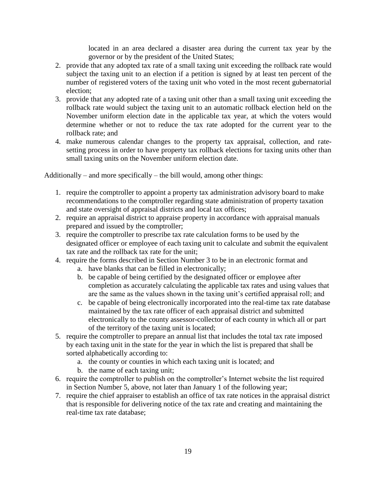located in an area declared a disaster area during the current tax year by the governor or by the president of the United States;

- 2. provide that any adopted tax rate of a small taxing unit exceeding the rollback rate would subject the taxing unit to an election if a petition is signed by at least ten percent of the number of registered voters of the taxing unit who voted in the most recent gubernatorial election;
- 3. provide that any adopted rate of a taxing unit other than a small taxing unit exceeding the rollback rate would subject the taxing unit to an automatic rollback election held on the November uniform election date in the applicable tax year, at which the voters would determine whether or not to reduce the tax rate adopted for the current year to the rollback rate; and
- 4. make numerous calendar changes to the property tax appraisal, collection, and ratesetting process in order to have property tax rollback elections for taxing units other than small taxing units on the November uniform election date.

Additionally – and more specifically – the bill would, among other things:

- 1. require the comptroller to appoint a property tax administration advisory board to make recommendations to the comptroller regarding state administration of property taxation and state oversight of appraisal districts and local tax offices;
- 2. require an appraisal district to appraise property in accordance with appraisal manuals prepared and issued by the comptroller;
- 3. require the comptroller to prescribe tax rate calculation forms to be used by the designated officer or employee of each taxing unit to calculate and submit the equivalent tax rate and the rollback tax rate for the unit;
- 4. require the forms described in Section Number 3 to be in an electronic format and
	- a. have blanks that can be filled in electronically;
	- b. be capable of being certified by the designated officer or employee after completion as accurately calculating the applicable tax rates and using values that are the same as the values shown in the taxing unit's certified appraisal roll; and
	- c. be capable of being electronically incorporated into the real-time tax rate database maintained by the tax rate officer of each appraisal district and submitted electronically to the county assessor-collector of each county in which all or part of the territory of the taxing unit is located;
- 5. require the comptroller to prepare an annual list that includes the total tax rate imposed by each taxing unit in the state for the year in which the list is prepared that shall be sorted alphabetically according to:
	- a. the county or counties in which each taxing unit is located; and
	- b. the name of each taxing unit;
- 6. require the comptroller to publish on the comptroller's Internet website the list required in Section Number 5, above, not later than January 1 of the following year;
- 7. require the chief appraiser to establish an office of tax rate notices in the appraisal district that is responsible for delivering notice of the tax rate and creating and maintaining the real-time tax rate database;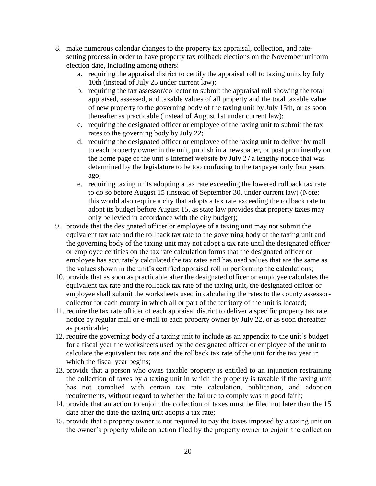- 8. make numerous calendar changes to the property tax appraisal, collection, and ratesetting process in order to have property tax rollback elections on the November uniform election date, including among others:
	- a. requiring the appraisal district to certify the appraisal roll to taxing units by July 10th (instead of July 25 under current law);
	- b. requiring the tax assessor/collector to submit the appraisal roll showing the total appraised, assessed, and taxable values of all property and the total taxable value of new property to the governing body of the taxing unit by July 15th, or as soon thereafter as practicable (instead of August 1st under current law);
	- c. requiring the designated officer or employee of the taxing unit to submit the tax rates to the governing body by July 22;
	- d. requiring the designated officer or employee of the taxing unit to deliver by mail to each property owner in the unit, publish in a newspaper, or post prominently on the home page of the unit's Internet website by July 27 a lengthy notice that was determined by the legislature to be too confusing to the taxpayer only four years ago;
	- e. requiring taxing units adopting a tax rate exceeding the lowered rollback tax rate to do so before August 15 (instead of September 30, under current law) (Note: this would also require a city that adopts a tax rate exceeding the rollback rate to adopt its budget before August 15, as state law provides that property taxes may only be levied in accordance with the city budget);
- 9. provide that the designated officer or employee of a taxing unit may not submit the equivalent tax rate and the rollback tax rate to the governing body of the taxing unit and the governing body of the taxing unit may not adopt a tax rate until the designated officer or employee certifies on the tax rate calculation forms that the designated officer or employee has accurately calculated the tax rates and has used values that are the same as the values shown in the unit's certified appraisal roll in performing the calculations;
- 10. provide that as soon as practicable after the designated officer or employee calculates the equivalent tax rate and the rollback tax rate of the taxing unit, the designated officer or employee shall submit the worksheets used in calculating the rates to the county assessorcollector for each county in which all or part of the territory of the unit is located;
- 11. require the tax rate officer of each appraisal district to deliver a specific property tax rate notice by regular mail or e-mail to each property owner by July 22, or as soon thereafter as practicable;
- 12. require the governing body of a taxing unit to include as an appendix to the unit's budget for a fiscal year the worksheets used by the designated officer or employee of the unit to calculate the equivalent tax rate and the rollback tax rate of the unit for the tax year in which the fiscal year begins;
- 13. provide that a person who owns taxable property is entitled to an injunction restraining the collection of taxes by a taxing unit in which the property is taxable if the taxing unit has not complied with certain tax rate calculation, publication, and adoption requirements, without regard to whether the failure to comply was in good faith;
- 14. provide that an action to enjoin the collection of taxes must be filed not later than the 15 date after the date the taxing unit adopts a tax rate;
- 15. provide that a property owner is not required to pay the taxes imposed by a taxing unit on the owner's property while an action filed by the property owner to enjoin the collection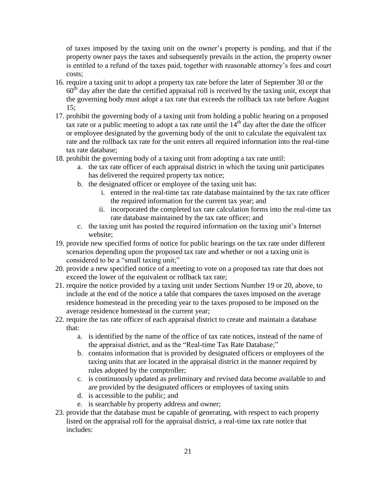of taxes imposed by the taxing unit on the owner's property is pending, and that if the property owner pays the taxes and subsequently prevails in the action, the property owner is entitled to a refund of the taxes paid, together with reasonable attorney's fees and court costs;

- 16. require a taxing unit to adopt a property tax rate before the later of September 30 or the  $60<sup>th</sup>$  day after the date the certified appraisal roll is received by the taxing unit, except that the governing body must adopt a tax rate that exceeds the rollback tax rate before August 15;
- 17. prohibit the governing body of a taxing unit from holding a public hearing on a proposed tax rate or a public meeting to adopt a tax rate until the  $14<sup>th</sup>$  day after the date the officer or employee designated by the governing body of the unit to calculate the equivalent tax rate and the rollback tax rate for the unit enters all required information into the real-time tax rate database;
- 18. prohibit the governing body of a taxing unit from adopting a tax rate until:
	- a. the tax rate officer of each appraisal district in which the taxing unit participates has delivered the required property tax notice;
	- b. the designated officer or employee of the taxing unit has:
		- i. entered in the real-time tax rate database maintained by the tax rate officer the required information for the current tax year; and
		- ii. incorporated the completed tax rate calculation forms into the real-time tax rate database maintained by the tax rate officer; and
	- c. the taxing unit has posted the required information on the taxing unit's Internet website;
- 19. provide new specified forms of notice for public hearings on the tax rate under different scenarios depending upon the proposed tax rate and whether or not a taxing unit is considered to be a "small taxing unit;"
- 20. provide a new specified notice of a meeting to vote on a proposed tax rate that does not exceed the lower of the equivalent or rollback tax rate;
- 21. require the notice provided by a taxing unit under Sections Number 19 or 20, above, to include at the end of the notice a table that compares the taxes imposed on the average residence homestead in the preceding year to the taxes proposed to be imposed on the average residence homestead in the current year;
- 22. require the tax rate officer of each appraisal district to create and maintain a database that:
	- a. is identified by the name of the office of tax rate notices, instead of the name of the appraisal district, and as the "Real-time Tax Rate Database;"
	- b. contains information that is provided by designated officers or employees of the taxing units that are located in the appraisal district in the manner required by rules adopted by the comptroller;
	- c. is continuously updated as preliminary and revised data become available to and are provided by the designated officers or employees of taxing units
	- d. is accessible to the public; and
	- e. is searchable by property address and owner;
- 23. provide that the database must be capable of generating, with respect to each property listed on the appraisal roll for the appraisal district, a real-time tax rate notice that includes: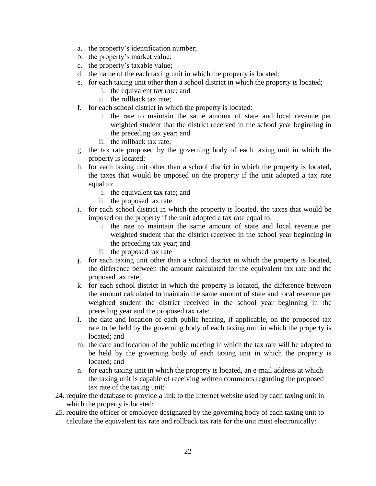- a. the property's identification number;
- b. the property's market value;
- c. the property's taxable value;
- d. the name of the each taxing unit in which the property is located;
- e. for each taxing unit other than a school district in which the property is located;
	- i. the equivalent tax rate; and
	- ii. the rollback tax rate;
- f. for each school district in which the property is located:
	- i. the rate to maintain the same amount of state and local revenue per weighted student that the district received in the school year beginning in the preceding tax year; and
	- ii. the rollback tax rate;
- g. the tax rate proposed by the governing body of each taxing unit in which the property is located;
- h. for each taxing unit other than a school district in which the property is located, the taxes that would be imposed on the property if the unit adopted a tax rate equal to:
	- i. the equivalent tax rate; and
	- ii. the proposed tax rate
- i. for each school district in which the property is located, the taxes that would be imposed on the property if the unit adopted a tax rate equal to:
	- i. the rate to maintain the same amount of state and local revenue per weighted student that the district received in the school year beginning in the preceding tax year; and
	- ii. the proposed tax rate
- j. for each taxing unit other than a school district in which the property is located, the difference between the amount calculated for the equivalent tax rate and the proposed tax rate;
- k. for each school district in which the property is located, the difference between the amount calculated to maintain the same amount of state and local revenue per weighted student the district received in the school year beginning in the preceding year and the proposed tax rate;
- l. the date and location of each public hearing, if applicable, on the proposed tax rate to be held by the governing body of each taxing unit in which the property is located; and
- m. the date and location of the public meeting in which the tax rate will be adopted to be held by the governing body of each taxing unit in which the property is located; and
- n. for each taxing unit in which the property is located, an e-mail address at which the taxing unit is capable of receiving written comments regarding the proposed tax rate of the taxing unit;
- 24. require the database to provide a link to the Internet website used by each taxing unit in which the property is located;
- 25. require the officer or employee designated by the governing body of each taxing unit to calculate the equivalent tax rate and rollback tax rate for the unit must electronically: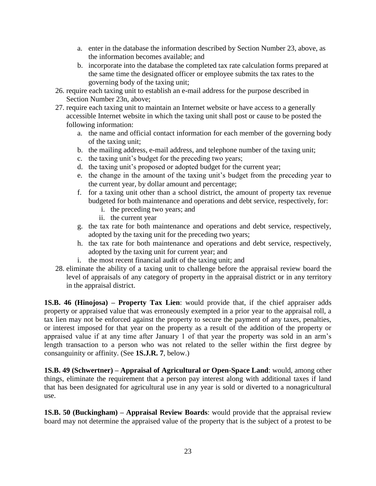- a. enter in the database the information described by Section Number 23, above, as the information becomes available; and
- b. incorporate into the database the completed tax rate calculation forms prepared at the same time the designated officer or employee submits the tax rates to the governing body of the taxing unit;
- 26. require each taxing unit to establish an e-mail address for the purpose described in Section Number 23n, above;
- 27. require each taxing unit to maintain an Internet website or have access to a generally accessible Internet website in which the taxing unit shall post or cause to be posted the following information:
	- a. the name and official contact information for each member of the governing body of the taxing unit;
	- b. the mailing address, e-mail address, and telephone number of the taxing unit;
	- c. the taxing unit's budget for the preceding two years;
	- d. the taxing unit's proposed or adopted budget for the current year;
	- e. the change in the amount of the taxing unit's budget from the preceding year to the current year, by dollar amount and percentage;
	- f. for a taxing unit other than a school district, the amount of property tax revenue budgeted for both maintenance and operations and debt service, respectively, for:
		- i. the preceding two years; and
		- ii. the current year
	- g. the tax rate for both maintenance and operations and debt service, respectively, adopted by the taxing unit for the preceding two years;
	- h. the tax rate for both maintenance and operations and debt service, respectively, adopted by the taxing unit for current year; and
	- i. the most recent financial audit of the taxing unit; and
- 28. eliminate the ability of a taxing unit to challenge before the appraisal review board the level of appraisals of any category of property in the appraisal district or in any territory in the appraisal district.

**1S.B. 46 (Hinojosa) – Property Tax Lien**: would provide that, if the chief appraiser adds property or appraised value that was erroneously exempted in a prior year to the appraisal roll, a tax lien may not be enforced against the property to secure the payment of any taxes, penalties, or interest imposed for that year on the property as a result of the addition of the property or appraised value if at any time after January 1 of that year the property was sold in an arm's length transaction to a person who was not related to the seller within the first degree by consanguinity or affinity. (See **1S.J.R. 7**, below.)

**1S.B. 49 (Schwertner) – Appraisal of Agricultural or Open-Space Land**: would, among other things, eliminate the requirement that a person pay interest along with additional taxes if land that has been designated for agricultural use in any year is sold or diverted to a nonagricultural use.

**1S.B. 50 (Buckingham) – Appraisal Review Boards**: would provide that the appraisal review board may not determine the appraised value of the property that is the subject of a protest to be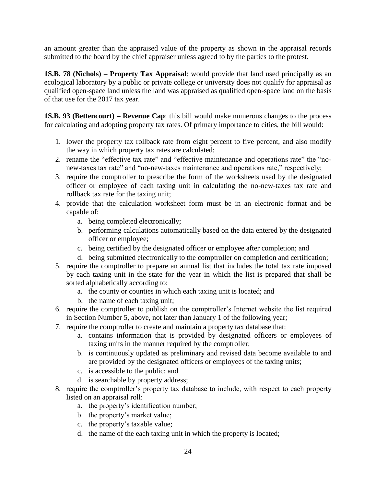an amount greater than the appraised value of the property as shown in the appraisal records submitted to the board by the chief appraiser unless agreed to by the parties to the protest.

**1S.B. 78 (Nichols) – Property Tax Appraisal**: would provide that land used principally as an ecological laboratory by a public or private college or university does not qualify for appraisal as qualified open-space land unless the land was appraised as qualified open-space land on the basis of that use for the 2017 tax year.

**1S.B. 93 (Bettencourt) – Revenue Cap**: this bill would make numerous changes to the process for calculating and adopting property tax rates. Of primary importance to cities, the bill would:

- 1. lower the property tax rollback rate from eight percent to five percent, and also modify the way in which property tax rates are calculated;
- 2. rename the "effective tax rate" and "effective maintenance and operations rate" the "nonew-taxes tax rate" and "no-new-taxes maintenance and operations rate," respectively;
- 3. require the comptroller to prescribe the form of the worksheets used by the designated officer or employee of each taxing unit in calculating the no-new-taxes tax rate and rollback tax rate for the taxing unit;
- 4. provide that the calculation worksheet form must be in an electronic format and be capable of:
	- a. being completed electronically;
	- b. performing calculations automatically based on the data entered by the designated officer or employee;
	- c. being certified by the designated officer or employee after completion; and
	- d. being submitted electronically to the comptroller on completion and certification;
- 5. require the comptroller to prepare an annual list that includes the total tax rate imposed by each taxing unit in the state for the year in which the list is prepared that shall be sorted alphabetically according to:
	- a. the county or counties in which each taxing unit is located; and
	- b. the name of each taxing unit;
- 6. require the comptroller to publish on the comptroller's Internet website the list required in Section Number 5, above, not later than January 1 of the following year;
- 7. require the comptroller to create and maintain a property tax database that:
	- a. contains information that is provided by designated officers or employees of taxing units in the manner required by the comptroller;
	- b. is continuously updated as preliminary and revised data become available to and are provided by the designated officers or employees of the taxing units;
	- c. is accessible to the public; and
	- d. is searchable by property address;
- 8. require the comptroller's property tax database to include, with respect to each property listed on an appraisal roll:
	- a. the property's identification number;
	- b. the property's market value;
	- c. the property's taxable value;
	- d. the name of the each taxing unit in which the property is located;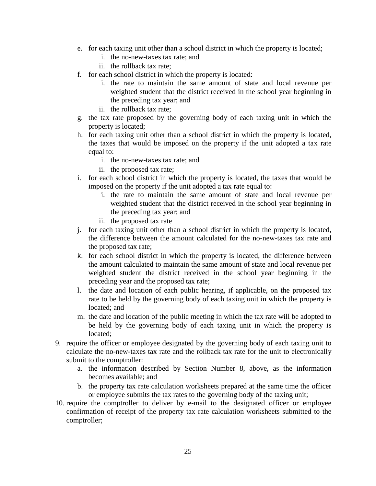- e. for each taxing unit other than a school district in which the property is located;
	- i. the no-new-taxes tax rate; and
	- ii. the rollback tax rate;
- f. for each school district in which the property is located:
	- i. the rate to maintain the same amount of state and local revenue per weighted student that the district received in the school year beginning in the preceding tax year; and
	- ii. the rollback tax rate;
- g. the tax rate proposed by the governing body of each taxing unit in which the property is located;
- h. for each taxing unit other than a school district in which the property is located, the taxes that would be imposed on the property if the unit adopted a tax rate equal to:
	- i. the no-new-taxes tax rate; and
	- ii. the proposed tax rate;
- i. for each school district in which the property is located, the taxes that would be imposed on the property if the unit adopted a tax rate equal to:
	- i. the rate to maintain the same amount of state and local revenue per weighted student that the district received in the school year beginning in the preceding tax year; and
	- ii. the proposed tax rate
- j. for each taxing unit other than a school district in which the property is located, the difference between the amount calculated for the no-new-taxes tax rate and the proposed tax rate;
- k. for each school district in which the property is located, the difference between the amount calculated to maintain the same amount of state and local revenue per weighted student the district received in the school year beginning in the preceding year and the proposed tax rate;
- l. the date and location of each public hearing, if applicable, on the proposed tax rate to be held by the governing body of each taxing unit in which the property is located; and
- m. the date and location of the public meeting in which the tax rate will be adopted to be held by the governing body of each taxing unit in which the property is located;
- 9. require the officer or employee designated by the governing body of each taxing unit to calculate the no-new-taxes tax rate and the rollback tax rate for the unit to electronically submit to the comptroller:
	- a. the information described by Section Number 8, above, as the information becomes available; and
	- b. the property tax rate calculation worksheets prepared at the same time the officer or employee submits the tax rates to the governing body of the taxing unit;
- 10. require the comptroller to deliver by e-mail to the designated officer or employee confirmation of receipt of the property tax rate calculation worksheets submitted to the comptroller;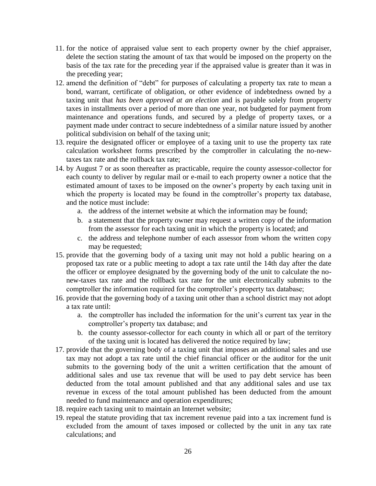- 11. for the notice of appraised value sent to each property owner by the chief appraiser, delete the section stating the amount of tax that would be imposed on the property on the basis of the tax rate for the preceding year if the appraised value is greater than it was in the preceding year;
- 12. amend the definition of "debt" for purposes of calculating a property tax rate to mean a bond, warrant, certificate of obligation, or other evidence of indebtedness owned by a taxing unit that *has been approved at an election* and is payable solely from property taxes in installments over a period of more than one year, not budgeted for payment from maintenance and operations funds, and secured by a pledge of property taxes, or a payment made under contract to secure indebtedness of a similar nature issued by another political subdivision on behalf of the taxing unit;
- 13. require the designated officer or employee of a taxing unit to use the property tax rate calculation worksheet forms prescribed by the comptroller in calculating the no-newtaxes tax rate and the rollback tax rate;
- 14. by August 7 or as soon thereafter as practicable, require the county assessor-collector for each county to deliver by regular mail or e-mail to each property owner a notice that the estimated amount of taxes to be imposed on the owner's property by each taxing unit in which the property is located may be found in the comptroller's property tax database, and the notice must include:
	- a. the address of the internet website at which the information may be found;
	- b. a statement that the property owner may request a written copy of the information from the assessor for each taxing unit in which the property is located; and
	- c. the address and telephone number of each assessor from whom the written copy may be requested;
- 15. provide that the governing body of a taxing unit may not hold a public hearing on a proposed tax rate or a public meeting to adopt a tax rate until the 14th day after the date the officer or employee designated by the governing body of the unit to calculate the nonew-taxes tax rate and the rollback tax rate for the unit electronically submits to the comptroller the information required for the comptroller's property tax database;
- 16. provide that the governing body of a taxing unit other than a school district may not adopt a tax rate until:
	- a. the comptroller has included the information for the unit's current tax year in the comptroller's property tax database; and
	- b. the county assessor-collector for each county in which all or part of the territory of the taxing unit is located has delivered the notice required by law;
- 17. provide that the governing body of a taxing unit that imposes an additional sales and use tax may not adopt a tax rate until the chief financial officer or the auditor for the unit submits to the governing body of the unit a written certification that the amount of additional sales and use tax revenue that will be used to pay debt service has been deducted from the total amount published and that any additional sales and use tax revenue in excess of the total amount published has been deducted from the amount needed to fund maintenance and operation expenditures;
- 18. require each taxing unit to maintain an Internet website;
- 19. repeal the statute providing that tax increment revenue paid into a tax increment fund is excluded from the amount of taxes imposed or collected by the unit in any tax rate calculations; and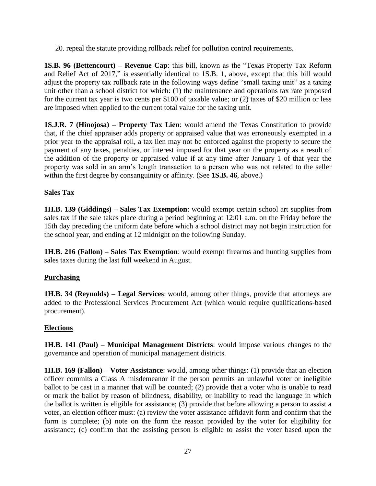20. repeal the statute providing rollback relief for pollution control requirements.

**1S.B. 96 (Bettencourt) – Revenue Cap**: this bill, known as the "Texas Property Tax Reform and Relief Act of 2017," is essentially identical to 1S.B. 1, above, except that this bill would adjust the property tax rollback rate in the following ways define "small taxing unit" as a taxing unit other than a school district for which: (1) the maintenance and operations tax rate proposed for the current tax year is two cents per \$100 of taxable value; or (2) taxes of \$20 million or less are imposed when applied to the current total value for the taxing unit.

**1S.J.R. 7 (Hinojosa) – Property Tax Lien**: would amend the Texas Constitution to provide that, if the chief appraiser adds property or appraised value that was erroneously exempted in a prior year to the appraisal roll, a tax lien may not be enforced against the property to secure the payment of any taxes, penalties, or interest imposed for that year on the property as a result of the addition of the property or appraised value if at any time after January 1 of that year the property was sold in an arm's length transaction to a person who was not related to the seller within the first degree by consanguinity or affinity. (See **1S.B. 46**, above.)

### **Sales Tax**

**1H.B. 139 (Giddings) – Sales Tax Exemption**: would exempt certain school art supplies from sales tax if the sale takes place during a period beginning at 12:01 a.m. on the Friday before the 15th day preceding the uniform date before which a school district may not begin instruction for the school year, and ending at 12 midnight on the following Sunday.

**1H.B. 216 (Fallon) – Sales Tax Exemption**: would exempt firearms and hunting supplies from sales taxes during the last full weekend in August.

### **Purchasing**

**1H.B. 34 (Reynolds) – Legal Services**: would, among other things, provide that attorneys are added to the Professional Services Procurement Act (which would require qualifications-based procurement).

### **Elections**

**1H.B. 141 (Paul) – Municipal Management Districts**: would impose various changes to the governance and operation of municipal management districts.

**1H.B. 169 (Fallon) – Voter Assistance**: would, among other things: (1) provide that an election officer commits a Class A misdemeanor if the person permits an unlawful voter or ineligible ballot to be cast in a manner that will be counted; (2) provide that a voter who is unable to read or mark the ballot by reason of blindness, disability, or inability to read the language in which the ballot is written is eligible for assistance; (3) provide that before allowing a person to assist a voter, an election officer must: (a) review the voter assistance affidavit form and confirm that the form is complete; (b) note on the form the reason provided by the voter for eligibility for assistance; (c) confirm that the assisting person is eligible to assist the voter based upon the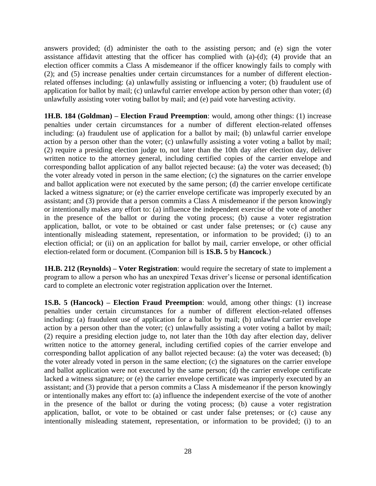answers provided; (d) administer the oath to the assisting person; and (e) sign the voter assistance affidavit attesting that the officer has complied with (a)-(d); (4) provide that an election officer commits a Class A misdemeanor if the officer knowingly fails to comply with (2); and (5) increase penalties under certain circumstances for a number of different electionrelated offenses including: (a) unlawfully assisting or influencing a voter; (b) fraudulent use of application for ballot by mail; (c) unlawful carrier envelope action by person other than voter; (d) unlawfully assisting voter voting ballot by mail; and (e) paid vote harvesting activity.

**1H.B. 184 (Goldman) – Election Fraud Preemption**: would, among other things: (1) increase penalties under certain circumstances for a number of different election-related offenses including: (a) fraudulent use of application for a ballot by mail; (b) unlawful carrier envelope action by a person other than the voter; (c) unlawfully assisting a voter voting a ballot by mail; (2) require a presiding election judge to, not later than the 10th day after election day, deliver written notice to the attorney general, including certified copies of the carrier envelope and corresponding ballot application of any ballot rejected because: (a) the voter was deceased; (b) the voter already voted in person in the same election; (c) the signatures on the carrier envelope and ballot application were not executed by the same person; (d) the carrier envelope certificate lacked a witness signature; or (e) the carrier envelope certificate was improperly executed by an assistant; and (3) provide that a person commits a Class A misdemeanor if the person knowingly or intentionally makes any effort to: (a) influence the independent exercise of the vote of another in the presence of the ballot or during the voting process; (b) cause a voter registration application, ballot, or vote to be obtained or cast under false pretenses; or (c) cause any intentionally misleading statement, representation, or information to be provided; (i) to an election official; or (ii) on an application for ballot by mail, carrier envelope, or other official election-related form or document. (Companion bill is **1S.B. 5** by **Hancock**.)

**1H.B. 212 (Reynolds) – Voter Registration**: would require the secretary of state to implement a program to allow a person who has an unexpired Texas driver's license or personal identification card to complete an electronic voter registration application over the Internet.

**1S.B. 5 (Hancock) – Election Fraud Preemption**: would, among other things: (1) increase penalties under certain circumstances for a number of different election-related offenses including: (a) fraudulent use of application for a ballot by mail; (b) unlawful carrier envelope action by a person other than the voter; (c) unlawfully assisting a voter voting a ballot by mail; (2) require a presiding election judge to, not later than the 10th day after election day, deliver written notice to the attorney general, including certified copies of the carrier envelope and corresponding ballot application of any ballot rejected because: (a) the voter was deceased; (b) the voter already voted in person in the same election; (c) the signatures on the carrier envelope and ballot application were not executed by the same person; (d) the carrier envelope certificate lacked a witness signature; or (e) the carrier envelope certificate was improperly executed by an assistant; and (3) provide that a person commits a Class A misdemeanor if the person knowingly or intentionally makes any effort to: (a) influence the independent exercise of the vote of another in the presence of the ballot or during the voting process; (b) cause a voter registration application, ballot, or vote to be obtained or cast under false pretenses; or (c) cause any intentionally misleading statement, representation, or information to be provided; (i) to an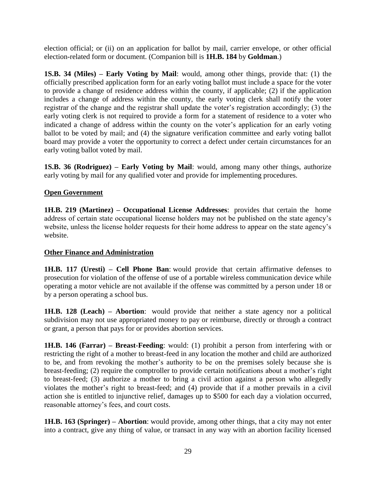election official; or (ii) on an application for ballot by mail, carrier envelope, or other official election-related form or document. (Companion bill is **1H.B. 184** by **Goldman**.)

**1S.B. 34 (Miles) – Early Voting by Mail**: would, among other things, provide that: (1) the officially prescribed application form for an early voting ballot must include a space for the voter to provide a change of residence address within the county, if applicable; (2) if the application includes a change of address within the county, the early voting clerk shall notify the voter registrar of the change and the registrar shall update the voter's registration accordingly; (3) the early voting clerk is not required to provide a form for a statement of residence to a voter who indicated a change of address within the county on the voter's application for an early voting ballot to be voted by mail; and (4) the signature verification committee and early voting ballot board may provide a voter the opportunity to correct a defect under certain circumstances for an early voting ballot voted by mail.

**1S.B. 36 (Rodriguez) – Early Voting by Mail**: would, among many other things, authorize early voting by mail for any qualified voter and provide for implementing procedures.

#### **Open Government**

**1H.B. 219 (Martinez) – Occupational License Addresses**: provides that certain the home address of certain state occupational license holders may not be published on the state agency's website, unless the license holder requests for their home address to appear on the state agency's website.

#### **Other Finance and Administration**

**1H.B. 117 (Uresti) – Cell Phone Ban**: would provide that certain affirmative defenses to prosecution for violation of the offense of use of a portable wireless communication device while operating a motor vehicle are not available if the offense was committed by a person under 18 or by a person operating a school bus.

**1H.B. 128 (Leach) – Abortion**: would provide that neither a state agency nor a political subdivision may not use appropriated money to pay or reimburse, directly or through a contract or grant, a person that pays for or provides abortion services.

**1H.B. 146 (Farrar) – Breast-Feeding**: would: (1) prohibit a person from interfering with or restricting the right of a mother to breast-feed in any location the mother and child are authorized to be, and from revoking the mother's authority to be on the premises solely because she is breast-feeding; (2) require the comptroller to provide certain notifications about a mother's right to breast-feed; (3) authorize a mother to bring a civil action against a person who allegedly violates the mother's right to breast-feed; and (4) provide that if a mother prevails in a civil action she is entitled to injunctive relief, damages up to \$500 for each day a violation occurred, reasonable attorney's fees, and court costs.

**1H.B. 163 (Springer) – Abortion**: would provide, among other things, that a city may not enter into a contract, give any thing of value, or transact in any way with an abortion facility licensed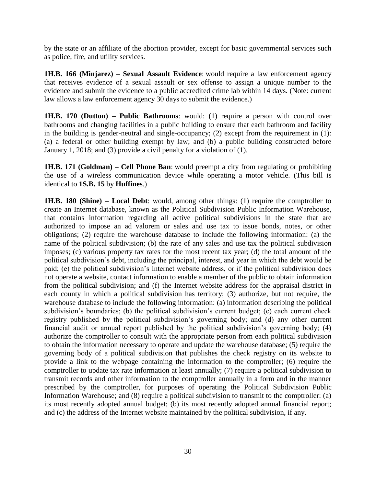by the state or an affiliate of the abortion provider, except for basic governmental services such as police, fire, and utility services.

**1H.B. 166 (Minjarez) – Sexual Assault Evidence**: would require a law enforcement agency that receives evidence of a sexual assault or sex offense to assign a unique number to the evidence and submit the evidence to a public accredited crime lab within 14 days. (Note: current law allows a law enforcement agency 30 days to submit the evidence.)

**1H.B. 170 (Dutton) – Public Bathrooms**: would: (1) require a person with control over bathrooms and changing facilities in a public building to ensure that each bathroom and facility in the building is gender-neutral and single-occupancy; (2) except from the requirement in  $(1)$ : (a) a federal or other building exempt by law; and (b) a public building constructed before January 1, 2018; and (3) provide a civil penalty for a violation of (1).

**1H.B. 171 (Goldman) – Cell Phone Ban**: would preempt a city from regulating or prohibiting the use of a wireless communication device while operating a motor vehicle. (This bill is identical to **1S.B. 15** by **Huffines**.)

**1H.B. 180 (Shine) – Local Debt**: would, among other things: (1) require the comptroller to create an Internet database, known as the Political Subdivision Public Information Warehouse, that contains information regarding all active political subdivisions in the state that are authorized to impose an ad valorem or sales and use tax to issue bonds, notes, or other obligations; (2) require the warehouse database to include the following information: (a) the name of the political subdivision; (b) the rate of any sales and use tax the political subdivision imposes; (c) various property tax rates for the most recent tax year; (d) the total amount of the political subdivision's debt, including the principal, interest, and year in which the debt would be paid; (e) the political subdivision's Internet website address, or if the political subdivision does not operate a website, contact information to enable a member of the public to obtain information from the political subdivision; and (f) the Internet website address for the appraisal district in each county in which a political subdivision has territory; (3) authorize, but not require, the warehouse database to include the following information: (a) information describing the political subdivision's boundaries; (b) the political subdivision's current budget; (c) each current check registry published by the political subdivision's governing body; and (d) any other current financial audit or annual report published by the political subdivision's governing body; (4) authorize the comptroller to consult with the appropriate person from each political subdivision to obtain the information necessary to operate and update the warehouse database; (5) require the governing body of a political subdivision that publishes the check registry on its website to provide a link to the webpage containing the information to the comptroller; (6) require the comptroller to update tax rate information at least annually; (7) require a political subdivision to transmit records and other information to the comptroller annually in a form and in the manner prescribed by the comptroller, for purposes of operating the Political Subdivision Public Information Warehouse; and (8) require a political subdivision to transmit to the comptroller: (a) its most recently adopted annual budget; (b) its most recently adopted annual financial report; and (c) the address of the Internet website maintained by the political subdivision, if any.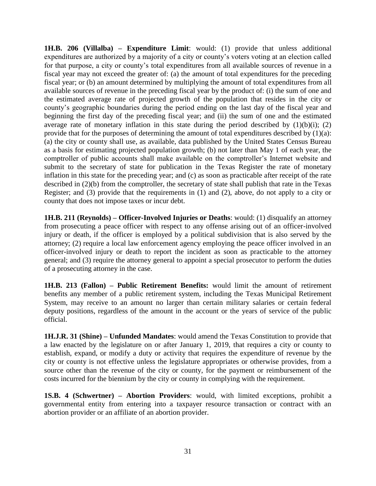**1H.B. 206 (Villalba) – Expenditure Limit**: would: (1) provide that unless additional expenditures are authorized by a majority of a city or county's voters voting at an election called for that purpose, a city or county's total expenditures from all available sources of revenue in a fiscal year may not exceed the greater of: (a) the amount of total expenditures for the preceding fiscal year; or (b) an amount determined by multiplying the amount of total expenditures from all available sources of revenue in the preceding fiscal year by the product of: (i) the sum of one and the estimated average rate of projected growth of the population that resides in the city or county's geographic boundaries during the period ending on the last day of the fiscal year and beginning the first day of the preceding fiscal year; and (ii) the sum of one and the estimated average rate of monetary inflation in this state during the period described by  $(1)(b)(i)$ ;  $(2)$ provide that for the purposes of determining the amount of total expenditures described by  $(1)(a)$ : (a) the city or county shall use, as available, data published by the United States Census Bureau as a basis for estimating projected population growth; (b) not later than May 1 of each year, the comptroller of public accounts shall make available on the comptroller's Internet website and submit to the secretary of state for publication in the Texas Register the rate of monetary inflation in this state for the preceding year; and (c) as soon as practicable after receipt of the rate described in (2)(b) from the comptroller, the secretary of state shall publish that rate in the Texas Register; and (3) provide that the requirements in (1) and (2), above, do not apply to a city or county that does not impose taxes or incur debt.

**1H.B. 211 (Reynolds) – Officer-Involved Injuries or Deaths**: would: (1) disqualify an attorney from prosecuting a peace officer with respect to any offense arising out of an officer-involved injury or death, if the officer is employed by a political subdivision that is also served by the attorney; (2) require a local law enforcement agency employing the peace officer involved in an officer-involved injury or death to report the incident as soon as practicable to the attorney general; and (3) require the attorney general to appoint a special prosecutor to perform the duties of a prosecuting attorney in the case.

**1H.B. 213 (Fallon) – Public Retirement Benefits:** would limit the amount of retirement benefits any member of a public retirement system, including the Texas Municipal Retirement System, may receive to an amount no larger than certain military salaries or certain federal deputy positions, regardless of the amount in the account or the years of service of the public official.

**1H.J.R. 31 (Shine) – Unfunded Mandates**: would amend the Texas Constitution to provide that a law enacted by the legislature on or after January 1, 2019, that requires a city or county to establish, expand, or modify a duty or activity that requires the expenditure of revenue by the city or county is not effective unless the legislature appropriates or otherwise provides, from a source other than the revenue of the city or county, for the payment or reimbursement of the costs incurred for the biennium by the city or county in complying with the requirement.

**1S.B. 4 (Schwertner) – Abortion Providers**: would, with limited exceptions, prohibit a governmental entity from entering into a taxpayer resource transaction or contract with an abortion provider or an affiliate of an abortion provider.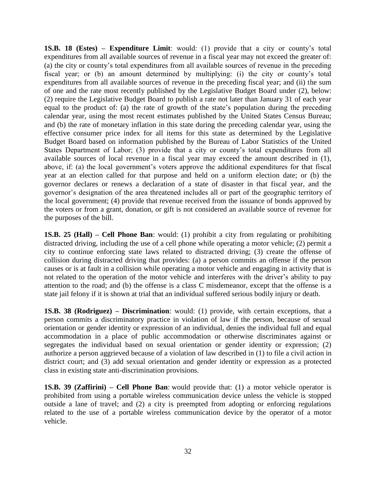**1S.B. 18 (Estes) – Expenditure Limit**: would: (1) provide that a city or county's total expenditures from all available sources of revenue in a fiscal year may not exceed the greater of: (a) the city or county's total expenditures from all available sources of revenue in the preceding fiscal year; or (b) an amount determined by multiplying: (i) the city or county's total expenditures from all available sources of revenue in the preceding fiscal year; and (ii) the sum of one and the rate most recently published by the Legislative Budget Board under (2), below: (2) require the Legislative Budget Board to publish a rate not later than January 31 of each year equal to the product of: (a) the rate of growth of the state's population during the preceding calendar year, using the most recent estimates published by the United States Census Bureau; and (b) the rate of monetary inflation in this state during the preceding calendar year, using the effective consumer price index for all items for this state as determined by the Legislative Budget Board based on information published by the Bureau of Labor Statistics of the United States Department of Labor; (3) provide that a city or county's total expenditures from all available sources of local revenue in a fiscal year may exceed the amount described in (1), above, if: (a) the local government's voters approve the additional expenditures for that fiscal year at an election called for that purpose and held on a uniform election date; or (b) the governor declares or renews a declaration of a state of disaster in that fiscal year, and the governor's designation of the area threatened includes all or part of the geographic territory of the local government; (4) provide that revenue received from the issuance of bonds approved by the voters or from a grant, donation, or gift is not considered an available source of revenue for the purposes of the bill.

**1S.B. 25 (Hall) – Cell Phone Ban**: would: (1) prohibit a city from regulating or prohibiting distracted driving, including the use of a cell phone while operating a motor vehicle; (2) permit a city to continue enforcing state laws related to distracted driving; (3) create the offense of collision during distracted driving that provides: (a) a person commits an offense if the person causes or is at fault in a collision while operating a motor vehicle and engaging in activity that is not related to the operation of the motor vehicle and interferes with the driver's ability to pay attention to the road; and (b) the offense is a class C misdemeanor, except that the offense is a state jail felony if it is shown at trial that an individual suffered serious bodily injury or death.

**1S.B. 38 (Rodriguez) – Discrimination**: would: (1) provide, with certain exceptions, that a person commits a discriminatory practice in violation of law if the person, because of sexual orientation or gender identity or expression of an individual, denies the individual full and equal accommodation in a place of public accommodation or otherwise discriminates against or segregates the individual based on sexual orientation or gender identity or expression; (2) authorize a person aggrieved because of a violation of law described in (1) to file a civil action in district court; and (3) add sexual orientation and gender identity or expression as a protected class in existing state anti-discrimination provisions.

**1S.B. 39 (Zaffirini) – Cell Phone Ban**: would provide that: (1) a motor vehicle operator is prohibited from using a portable wireless communication device unless the vehicle is stopped outside a lane of travel; and (2) a city is preempted from adopting or enforcing regulations related to the use of a portable wireless communication device by the operator of a motor vehicle.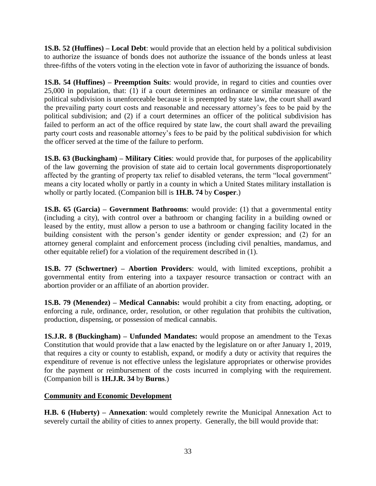**1S.B. 52 (Huffines) – Local Debt**: would provide that an election held by a political subdivision to authorize the issuance of bonds does not authorize the issuance of the bonds unless at least three-fifths of the voters voting in the election vote in favor of authorizing the issuance of bonds.

**1S.B. 54 (Huffines) – Preemption Suits**: would provide, in regard to cities and counties over 25,000 in population, that: (1) if a court determines an ordinance or similar measure of the political subdivision is unenforceable because it is preempted by state law, the court shall award the prevailing party court costs and reasonable and necessary attorney's fees to be paid by the political subdivision; and (2) if a court determines an officer of the political subdivision has failed to perform an act of the office required by state law, the court shall award the prevailing party court costs and reasonable attorney's fees to be paid by the political subdivision for which the officer served at the time of the failure to perform.

**1S.B. 63 (Buckingham) – Military Cities**: would provide that, for purposes of the applicability of the law governing the provision of state aid to certain local governments disproportionately affected by the granting of property tax relief to disabled veterans, the term "local government" means a city located wholly or partly in a county in which a United States military installation is wholly or partly located. (Companion bill is **1H.B. 74** by **Cosper**.)

**1S.B. 65 (Garcia) – Government Bathrooms**: would provide: (1) that a governmental entity (including a city), with control over a bathroom or changing facility in a building owned or leased by the entity, must allow a person to use a bathroom or changing facility located in the building consistent with the person's gender identity or gender expression; and (2) for an attorney general complaint and enforcement process (including civil penalties, mandamus, and other equitable relief) for a violation of the requirement described in (1).

**1S.B. 77 (Schwertner) – Abortion Providers**: would, with limited exceptions, prohibit a governmental entity from entering into a taxpayer resource transaction or contract with an abortion provider or an affiliate of an abortion provider.

**1S.B. 79 (Menendez) – Medical Cannabis:** would prohibit a city from enacting, adopting, or enforcing a rule, ordinance, order, resolution, or other regulation that prohibits the cultivation, production, dispensing, or possession of medical cannabis.

**1S.J.R. 8 (Buckingham) – Unfunded Mandates:** would propose an amendment to the Texas Constitution that would provide that a law enacted by the legislature on or after January 1, 2019, that requires a city or county to establish, expand, or modify a duty or activity that requires the expenditure of revenue is not effective unless the legislature appropriates or otherwise provides for the payment or reimbursement of the costs incurred in complying with the requirement. (Companion bill is **1H.J.R. 34** by **Burns**.)

## **Community and Economic Development**

**H.B. 6 (Huberty) – Annexation**: would completely rewrite the Municipal Annexation Act to severely curtail the ability of cities to annex property. Generally, the bill would provide that: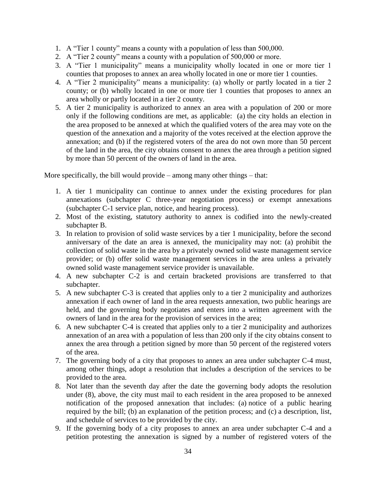- 1. A "Tier 1 county" means a county with a population of less than 500,000.
- 2. A "Tier 2 county" means a county with a population of 500,000 or more.
- 3. A "Tier 1 municipality" means a municipality wholly located in one or more tier 1 counties that proposes to annex an area wholly located in one or more tier 1 counties.
- 4. A "Tier 2 municipality" means a municipality: (a) wholly or partly located in a tier 2 county; or (b) wholly located in one or more tier 1 counties that proposes to annex an area wholly or partly located in a tier 2 county.
- 5. A tier 2 municipality is authorized to annex an area with a population of 200 or more only if the following conditions are met, as applicable: (a) the city holds an election in the area proposed to be annexed at which the qualified voters of the area may vote on the question of the annexation and a majority of the votes received at the election approve the annexation; and (b) if the registered voters of the area do not own more than 50 percent of the land in the area, the city obtains consent to annex the area through a petition signed by more than 50 percent of the owners of land in the area.

More specifically, the bill would provide – among many other things – that:

- 1. A tier 1 municipality can continue to annex under the existing procedures for plan annexations (subchapter C three-year negotiation process) or exempt annexations (subchapter C-1 service plan, notice, and hearing process).
- 2. Most of the existing, statutory authority to annex is codified into the newly-created subchapter B.
- 3. In relation to provision of solid waste services by a tier 1 municipality, before the second anniversary of the date an area is annexed, the municipality may not: (a) prohibit the collection of solid waste in the area by a privately owned solid waste management service provider; or (b) offer solid waste management services in the area unless a privately owned solid waste management service provider is unavailable.
- 4. A new subchapter C-2 is and certain bracketed provisions are transferred to that subchapter.
- 5. A new subchapter C-3 is created that applies only to a tier 2 municipality and authorizes annexation if each owner of land in the area requests annexation, two public hearings are held, and the governing body negotiates and enters into a written agreement with the owners of land in the area for the provision of services in the area;
- 6. A new subchapter C-4 is created that applies only to a tier 2 municipality and authorizes annexation of an area with a population of less than 200 only if the city obtains consent to annex the area through a petition signed by more than 50 percent of the registered voters of the area.
- 7. The governing body of a city that proposes to annex an area under subchapter C-4 must, among other things, adopt a resolution that includes a description of the services to be provided to the area.
- 8. Not later than the seventh day after the date the governing body adopts the resolution under (8), above, the city must mail to each resident in the area proposed to be annexed notification of the proposed annexation that includes: (a) notice of a public hearing required by the bill; (b) an explanation of the petition process; and (c) a description, list, and schedule of services to be provided by the city.
- 9. If the governing body of a city proposes to annex an area under subchapter C-4 and a petition protesting the annexation is signed by a number of registered voters of the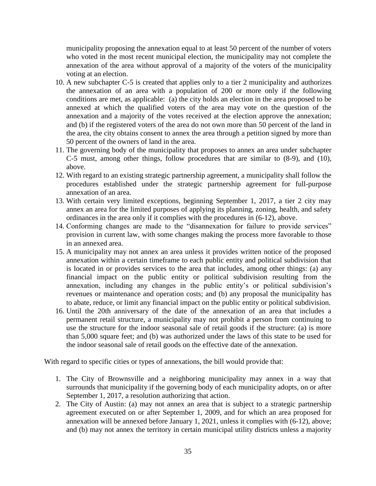municipality proposing the annexation equal to at least 50 percent of the number of voters who voted in the most recent municipal election, the municipality may not complete the annexation of the area without approval of a majority of the voters of the municipality voting at an election.

- 10. A new subchapter C-5 is created that applies only to a tier 2 municipality and authorizes the annexation of an area with a population of 200 or more only if the following conditions are met, as applicable: (a) the city holds an election in the area proposed to be annexed at which the qualified voters of the area may vote on the question of the annexation and a majority of the votes received at the election approve the annexation; and (b) if the registered voters of the area do not own more than 50 percent of the land in the area, the city obtains consent to annex the area through a petition signed by more than 50 percent of the owners of land in the area.
- 11. The governing body of the municipality that proposes to annex an area under subchapter C-5 must, among other things, follow procedures that are similar to (8-9), and (10), above.
- 12. With regard to an existing strategic partnership agreement, a municipality shall follow the procedures established under the strategic partnership agreement for full-purpose annexation of an area.
- 13. With certain very limited exceptions, beginning September 1, 2017, a tier 2 city may annex an area for the limited purposes of applying its planning, zoning, health, and safety ordinances in the area only if it complies with the procedures in (6-12), above.
- 14. Conforming changes are made to the "disannexation for failure to provide services" provision in current law, with some changes making the process more favorable to those in an annexed area.
- 15. A municipality may not annex an area unless it provides written notice of the proposed annexation within a certain timeframe to each public entity and political subdivision that is located in or provides services to the area that includes, among other things: (a) any financial impact on the public entity or political subdivision resulting from the annexation, including any changes in the public entity's or political subdivision's revenues or maintenance and operation costs; and (b) any proposal the municipality has to abate, reduce, or limit any financial impact on the public entity or political subdivision.
- 16. Until the 20th anniversary of the date of the annexation of an area that includes a permanent retail structure, a municipality may not prohibit a person from continuing to use the structure for the indoor seasonal sale of retail goods if the structure: (a) is more than 5,000 square feet; and (b) was authorized under the laws of this state to be used for the indoor seasonal sale of retail goods on the effective date of the annexation.

With regard to specific cities or types of annexations, the bill would provide that:

- 1. The City of Brownsville and a neighboring municipality may annex in a way that surrounds that municipality if the governing body of each municipality adopts, on or after September 1, 2017, a resolution authorizing that action.
- 2. The City of Austin: (a) may not annex an area that is subject to a strategic partnership agreement executed on or after September 1, 2009, and for which an area proposed for annexation will be annexed before January 1, 2021, unless it complies with (6-12), above; and (b) may not annex the territory in certain municipal utility districts unless a majority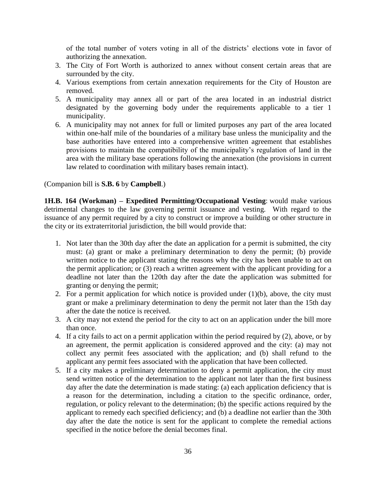of the total number of voters voting in all of the districts' elections vote in favor of authorizing the annexation.

- 3. The City of Fort Worth is authorized to annex without consent certain areas that are surrounded by the city.
- 4. Various exemptions from certain annexation requirements for the City of Houston are removed.
- 5. A municipality may annex all or part of the area located in an industrial district designated by the governing body under the requirements applicable to a tier 1 municipality.
- 6. A municipality may not annex for full or limited purposes any part of the area located within one-half mile of the boundaries of a military base unless the municipality and the base authorities have entered into a comprehensive written agreement that establishes provisions to maintain the compatibility of the municipality's regulation of land in the area with the military base operations following the annexation (the provisions in current law related to coordination with military bases remain intact).

#### (Companion bill is **S.B. 6** by **Campbell**.)

**1H.B. 164 (Workman) – Expedited Permitting/Occupational Vesting**: would make various detrimental changes to the law governing permit issuance and vesting. With regard to the issuance of any permit required by a city to construct or improve a building or other structure in the city or its extraterritorial jurisdiction, the bill would provide that:

- 1. Not later than the 30th day after the date an application for a permit is submitted, the city must: (a) grant or make a preliminary determination to deny the permit; (b) provide written notice to the applicant stating the reasons why the city has been unable to act on the permit application; or (3) reach a written agreement with the applicant providing for a deadline not later than the 120th day after the date the application was submitted for granting or denying the permit;
- 2. For a permit application for which notice is provided under  $(1)(b)$ , above, the city must grant or make a preliminary determination to deny the permit not later than the 15th day after the date the notice is received.
- 3. A city may not extend the period for the city to act on an application under the bill more than once.
- 4. If a city fails to act on a permit application within the period required by (2), above, or by an agreement, the permit application is considered approved and the city: (a) may not collect any permit fees associated with the application; and (b) shall refund to the applicant any permit fees associated with the application that have been collected.
- 5. If a city makes a preliminary determination to deny a permit application, the city must send written notice of the determination to the applicant not later than the first business day after the date the determination is made stating: (a) each application deficiency that is a reason for the determination, including a citation to the specific ordinance, order, regulation, or policy relevant to the determination; (b) the specific actions required by the applicant to remedy each specified deficiency; and (b) a deadline not earlier than the 30th day after the date the notice is sent for the applicant to complete the remedial actions specified in the notice before the denial becomes final.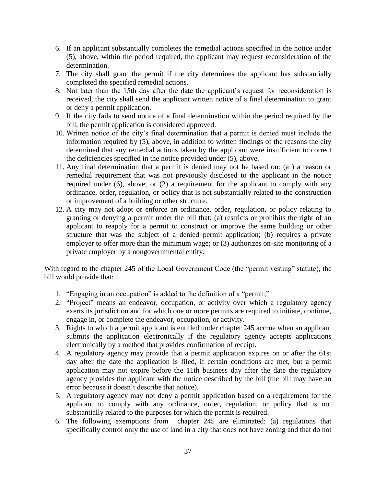- 6. If an applicant substantially completes the remedial actions specified in the notice under (5), above, within the period required, the applicant may request reconsideration of the determination.
- 7. The city shall grant the permit if the city determines the applicant has substantially completed the specified remedial actions.
- 8. Not later than the 15th day after the date the applicant's request for reconsideration is received, the city shall send the applicant written notice of a final determination to grant or deny a permit application.
- 9. If the city fails to send notice of a final determination within the period required by the bill, the permit application is considered approved.
- 10. Written notice of the city's final determination that a permit is denied must include the information required by (5), above, in addition to written findings of the reasons the city determined that any remedial actions taken by the applicant were insufficient to correct the deficiencies specified in the notice provided under (5), above.
- 11. Any final determination that a permit is denied may not be based on: (a ) a reason or remedial requirement that was not previously disclosed to the applicant in the notice required under (6), above; or (2) a requirement for the applicant to comply with any ordinance, order, regulation, or policy that is not substantially related to the construction or improvement of a building or other structure.
- 12. A city may not adopt or enforce an ordinance, order, regulation, or policy relating to granting or denying a permit under the bill that: (a) restricts or prohibits the right of an applicant to reapply for a permit to construct or improve the same building or other structure that was the subject of a denied permit application; (b) requires a private employer to offer more than the minimum wage; or (3) authorizes on-site monitoring of a private employer by a nongovernmental entity.

With regard to the chapter 245 of the Local Government Code (the "permit vesting" statute), the bill would provide that:

- 1. "Engaging in an occupation" is added to the definition of a "permit;"
- 2. "Project" means an endeavor, occupation, or activity over which a regulatory agency exerts its jurisdiction and for which one or more permits are required to initiate, continue, engage in, or complete the endeavor, occupation, or activity.
- 3. Rights to which a permit applicant is entitled under chapter 245 accrue when an applicant submits the application electronically if the regulatory agency accepts applications electronically by a method that provides confirmation of receipt.
- 4. A regulatory agency may provide that a permit application expires on or after the 61st day after the date the application is filed, if certain conditions are met, but a permit application may not expire before the 11th business day after the date the regulatory agency provides the applicant with the notice described by the bill (the bill may have an error because it doesn't describe that notice).
- 5. A regulatory agency may not deny a permit application based on a requirement for the applicant to comply with any ordinance, order, regulation, or policy that is not substantially related to the purposes for which the permit is required.
- 6. The following exemptions from chapter 245 are eliminated: (a) regulations that specifically control only the use of land in a city that does not have zoning and that do not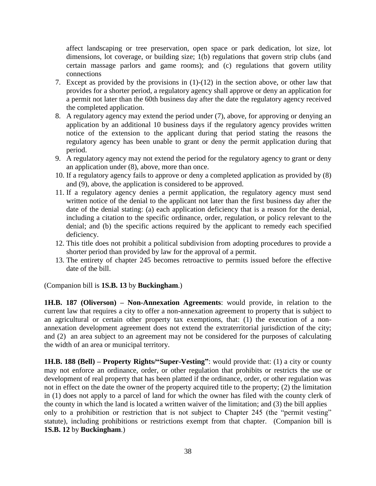affect landscaping or tree preservation, open space or park dedication, lot size, lot dimensions, lot coverage, or building size; 1(b) regulations that govern strip clubs (and certain massage parlors and game rooms); and (c) regulations that govern utility connections

- 7. Except as provided by the provisions in (1)-(12) in the section above, or other law that provides for a shorter period, a regulatory agency shall approve or deny an application for a permit not later than the 60th business day after the date the regulatory agency received the completed application.
- 8. A regulatory agency may extend the period under (7), above, for approving or denying an application by an additional 10 business days if the regulatory agency provides written notice of the extension to the applicant during that period stating the reasons the regulatory agency has been unable to grant or deny the permit application during that period.
- 9. A regulatory agency may not extend the period for the regulatory agency to grant or deny an application under (8), above, more than once.
- 10. If a regulatory agency fails to approve or deny a completed application as provided by (8) and (9), above, the application is considered to be approved.
- 11. If a regulatory agency denies a permit application, the regulatory agency must send written notice of the denial to the applicant not later than the first business day after the date of the denial stating: (a) each application deficiency that is a reason for the denial, including a citation to the specific ordinance, order, regulation, or policy relevant to the denial; and (b) the specific actions required by the applicant to remedy each specified deficiency.
- 12. This title does not prohibit a political subdivision from adopting procedures to provide a shorter period than provided by law for the approval of a permit.
- 13. The entirety of chapter 245 becomes retroactive to permits issued before the effective date of the bill.

(Companion bill is **1S.B. 13** by **Buckingham**.)

**1H.B. 187 (Oliverson) – Non-Annexation Agreements**: would provide, in relation to the current law that requires a city to offer a non-annexation agreement to property that is subject to an agricultural or certain other property tax exemptions, that: (1) the execution of a nonannexation development agreement does not extend the extraterritorial jurisdiction of the city; and (2) an area subject to an agreement may not be considered for the purposes of calculating the width of an area or municipal territory.

**1H.B. 188 (Bell) – Property Rights/"Super-Vesting"**: would provide that: (1) a city or county may not enforce an ordinance, order, or other regulation that prohibits or restricts the use or development of real property that has been platted if the ordinance, order, or other regulation was not in effect on the date the owner of the property acquired title to the property; (2) the limitation in (1) does not apply to a parcel of land for which the owner has filed with the county clerk of the county in which the land is located a written waiver of the limitation; and (3) the bill applies only to a prohibition or restriction that is not subject to Chapter 245 (the "permit vesting" statute), including prohibitions or restrictions exempt from that chapter. (Companion bill is **1S.B. 12** by **Buckingham**.)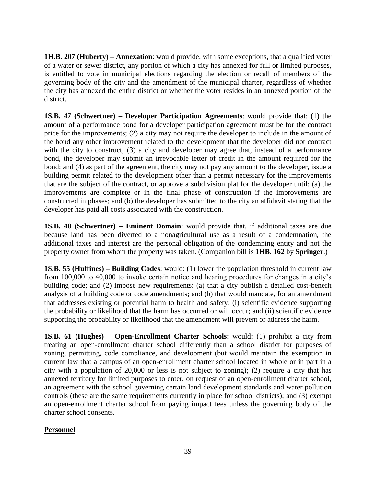**1H.B. 207 (Huberty) – Annexation**: would provide, with some exceptions, that a qualified voter of a water or sewer district, any portion of which a city has annexed for full or limited purposes, is entitled to vote in municipal elections regarding the election or recall of members of the governing body of the city and the amendment of the municipal charter, regardless of whether the city has annexed the entire district or whether the voter resides in an annexed portion of the district.

**1S.B. 47 (Schwertner) – Developer Participation Agreements**: would provide that: (1) the amount of a performance bond for a developer participation agreement must be for the contract price for the improvements; (2) a city may not require the developer to include in the amount of the bond any other improvement related to the development that the developer did not contract with the city to construct; (3) a city and developer may agree that, instead of a performance bond, the developer may submit an irrevocable letter of credit in the amount required for the bond; and (4) as part of the agreement, the city may not pay any amount to the developer, issue a building permit related to the development other than a permit necessary for the improvements that are the subject of the contract, or approve a subdivision plat for the developer until: (a) the improvements are complete or in the final phase of construction if the improvements are constructed in phases; and (b) the developer has submitted to the city an affidavit stating that the developer has paid all costs associated with the construction.

**1S.B. 48 (Schwertner) – Eminent Domain**: would provide that, if additional taxes are due because land has been diverted to a nonagricultural use as a result of a condemnation, the additional taxes and interest are the personal obligation of the condemning entity and not the property owner from whom the property was taken. (Companion bill is **1HB. 162** by **Springer**.)

**1S.B. 55 (Huffines) – Building Codes**: would: (1) lower the population threshold in current law from 100,000 to 40,000 to invoke certain notice and hearing procedures for changes in a city's building code; and (2) impose new requirements: (a) that a city publish a detailed cost-benefit analysis of a building code or code amendments; and (b) that would mandate, for an amendment that addresses existing or potential harm to health and safety: (i) scientific evidence supporting the probability or likelihood that the harm has occurred or will occur; and (ii) scientific evidence supporting the probability or likelihood that the amendment will prevent or address the harm.

**1S.B. 61 (Hughes) – Open-Enrollment Charter Schools**: would: (1) prohibit a city from treating an open-enrollment charter school differently than a school district for purposes of zoning, permitting, code compliance, and development (but would maintain the exemption in current law that a campus of an open-enrollment charter school located in whole or in part in a city with a population of 20,000 or less is not subject to zoning); (2) require a city that has annexed territory for limited purposes to enter, on request of an open-enrollment charter school, an agreement with the school governing certain land development standards and water pollution controls (these are the same requirements currently in place for school districts); and (3) exempt an open-enrollment charter school from paying impact fees unless the governing body of the charter school consents.

### **Personnel**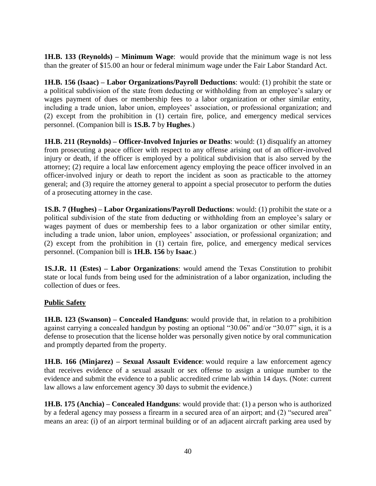**1H.B. 133 (Reynolds) – Minimum Wage**: would provide that the minimum wage is not less than the greater of \$15.00 an hour or federal minimum wage under the Fair Labor Standard Act.

**1H.B. 156 (Isaac) – Labor Organizations/Payroll Deductions**: would: (1) prohibit the state or a political subdivision of the state from deducting or withholding from an employee's salary or wages payment of dues or membership fees to a labor organization or other similar entity, including a trade union, labor union, employees' association, or professional organization; and (2) except from the prohibition in (1) certain fire, police, and emergency medical services personnel. (Companion bill is **1S.B. 7** by **Hughes**.)

**1H.B. 211 (Reynolds) – Officer-Involved Injuries or Deaths**: would: (1) disqualify an attorney from prosecuting a peace officer with respect to any offense arising out of an officer-involved injury or death, if the officer is employed by a political subdivision that is also served by the attorney; (2) require a local law enforcement agency employing the peace officer involved in an officer-involved injury or death to report the incident as soon as practicable to the attorney general; and (3) require the attorney general to appoint a special prosecutor to perform the duties of a prosecuting attorney in the case.

**1S.B. 7 (Hughes) – Labor Organizations/Payroll Deductions**: would: (1) prohibit the state or a political subdivision of the state from deducting or withholding from an employee's salary or wages payment of dues or membership fees to a labor organization or other similar entity, including a trade union, labor union, employees' association, or professional organization; and (2) except from the prohibition in (1) certain fire, police, and emergency medical services personnel. (Companion bill is **1H.B. 156** by **Isaac**.)

**1S.J.R. 11 (Estes) – Labor Organizations**: would amend the Texas Constitution to prohibit state or local funds from being used for the administration of a labor organization, including the collection of dues or fees.

### **Public Safety**

**1H.B. 123 (Swanson) – Concealed Handguns**: would provide that, in relation to a prohibition against carrying a concealed handgun by posting an optional "30.06" and/or "30.07" sign, it is a defense to prosecution that the license holder was personally given notice by oral communication and promptly departed from the property.

**1H.B. 166 (Minjarez) – Sexual Assault Evidence**: would require a law enforcement agency that receives evidence of a sexual assault or sex offense to assign a unique number to the evidence and submit the evidence to a public accredited crime lab within 14 days. (Note: current law allows a law enforcement agency 30 days to submit the evidence.)

**1H.B. 175 (Anchia) – Concealed Handguns**: would provide that: (1) a person who is authorized by a federal agency may possess a firearm in a secured area of an airport; and (2) "secured area" means an area: (i) of an airport terminal building or of an adjacent aircraft parking area used by